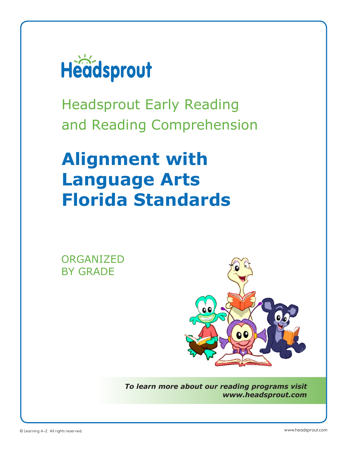

Headsprout Early Reading and Reading Comprehension

# **Alignment with Language Arts Florida Standards**

ORGANIZED BY GRADE



*To learn more about our reading programs visit www.headsprout.com*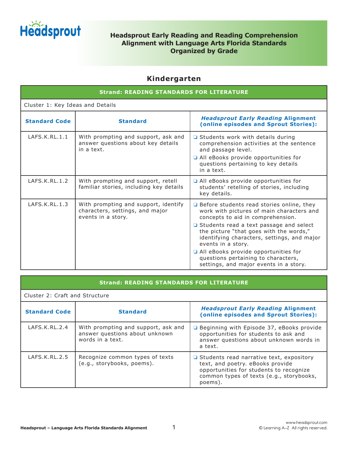

## **Headsprout Early Reading and Reading Comprehension Alignment with Language Arts Florida Standards Organized by Grade**

## **Kindergarten**

| <b>Strand: READING STANDARDS FOR LITERATURE</b> |                                                                                               |                                                                                                                                                                                                                                                                                                                                                                                                                          |  |
|-------------------------------------------------|-----------------------------------------------------------------------------------------------|--------------------------------------------------------------------------------------------------------------------------------------------------------------------------------------------------------------------------------------------------------------------------------------------------------------------------------------------------------------------------------------------------------------------------|--|
| Cluster 1: Key Ideas and Details                |                                                                                               |                                                                                                                                                                                                                                                                                                                                                                                                                          |  |
| <b>Standard Code</b>                            | <b>Standard</b>                                                                               | <b>Headsprout Early Reading Alignment</b><br>(online episodes and Sprout Stories):                                                                                                                                                                                                                                                                                                                                       |  |
| LAFS.K.RL.1.1                                   | With prompting and support, ask and<br>answer questions about key details<br>in a text.       | $\Box$ Students work with details during<br>comprehension activities at the sentence<br>and passage level.<br>All eBooks provide opportunities for<br>questions pertaining to key details<br>in a text.                                                                                                                                                                                                                  |  |
| IAFS.K.RI.1.2                                   | With prompting and support, retell<br>familiar stories, including key details                 | All eBooks provide opportunities for<br>students' retelling of stories, including<br>key details.                                                                                                                                                                                                                                                                                                                        |  |
| LAFS.K.RL.1.3                                   | With prompting and support, identify<br>characters, settings, and major<br>events in a story. | $\Box$ Before students read stories online, they<br>work with pictures of main characters and<br>concepts to aid in comprehension.<br>□ Students read a text passage and select<br>the picture "that goes with the words,"<br>identifying characters, settings, and major<br>events in a story.<br>All eBooks provide opportunities for<br>questions pertaining to characters,<br>settings, and major events in a story. |  |

## **Strand: READING STANDARDS FOR LITERATURE**

## Cluster 2: Craft and Structure

| <b>Standard Code</b> | <b>Standard</b>                                                                           | <b>Headsprout Early Reading Alignment</b><br>(online episodes and Sprout Stories):                                                                                               |
|----------------------|-------------------------------------------------------------------------------------------|----------------------------------------------------------------------------------------------------------------------------------------------------------------------------------|
| LAFS.K.RL.2.4        | With prompting and support, ask and<br>answer questions about unknown<br>words in a text. | □ Beginning with Episode 37, eBooks provide<br>opportunities for students to ask and<br>answer questions about unknown words in<br>a text.                                       |
| LAFS.K.RL.2.5        | Recognize common types of texts<br>(e.g., storybooks, poems).                             | □ Students read narrative text, expository<br>text, and poetry. eBooks provide<br>opportunities for students to recognize<br>common types of texts (e.g., storybooks,<br>poems). |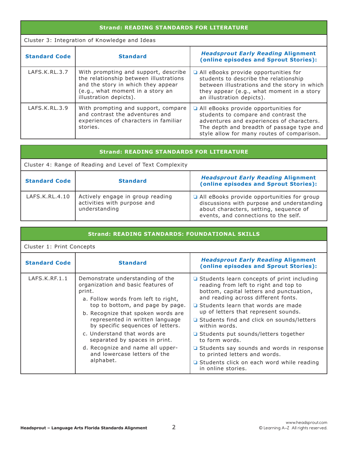### **Strand: READING STANDARDS FOR LITERATURE**

Cluster 3: Integration of Knowledge and Ideas

| <b>Standard Code</b> | <b>Standard</b>                                                                                                                                                                    | <b>Headsprout Early Reading Alignment</b><br>(online episodes and Sprout Stories):                                                                                                                                   |
|----------------------|------------------------------------------------------------------------------------------------------------------------------------------------------------------------------------|----------------------------------------------------------------------------------------------------------------------------------------------------------------------------------------------------------------------|
| LAFS.K.RL.3.7        | With prompting and support, describe<br>the relationship between illustrations<br>and the story in which they appear<br>(e.g., what moment in a story an<br>illustration depicts). | All eBooks provide opportunities for<br>students to describe the relationship<br>between illustrations and the story in which<br>they appear (e.g., what moment in a story<br>an illustration depicts).              |
| LAFS.K.RL.3.9        | With prompting and support, compare<br>and contrast the adventures and<br>experiences of characters in familiar<br>stories.                                                        | All eBooks provide opportunities for<br>students to compare and contrast the<br>adventures and experiences of characters.<br>The depth and breadth of passage type and<br>style allow for many routes of comparison. |

| <b>Strand: READING STANDARDS FOR LITERATURE</b>          |                                                                                  |                                                                                                                                                                            |  |
|----------------------------------------------------------|----------------------------------------------------------------------------------|----------------------------------------------------------------------------------------------------------------------------------------------------------------------------|--|
| Cluster 4: Range of Reading and Level of Text Complexity |                                                                                  |                                                                                                                                                                            |  |
| <b>Standard Code</b>                                     | <b>Standard</b>                                                                  | <b>Headsprout Early Reading Alignment</b><br>(online episodes and Sprout Stories):                                                                                         |  |
| LAFS.K.RL.4.10                                           | Actively engage in group reading<br>activities with purpose and<br>understanding | All eBooks provide opportunities for group<br>discussions with purpose and understanding<br>about characters, setting, sequence of<br>events, and connections to the self. |  |

| <b>Strand: READING STANDARDS: FOUNDATIONAL SKILLS</b> |                                                                                                                                                                                                                                                                                                                                                                                                                             |                                                                                                                                                                                                                                                                                                                                                                                                                                                                                                                                                     |  |
|-------------------------------------------------------|-----------------------------------------------------------------------------------------------------------------------------------------------------------------------------------------------------------------------------------------------------------------------------------------------------------------------------------------------------------------------------------------------------------------------------|-----------------------------------------------------------------------------------------------------------------------------------------------------------------------------------------------------------------------------------------------------------------------------------------------------------------------------------------------------------------------------------------------------------------------------------------------------------------------------------------------------------------------------------------------------|--|
| Cluster 1: Print Concepts                             |                                                                                                                                                                                                                                                                                                                                                                                                                             |                                                                                                                                                                                                                                                                                                                                                                                                                                                                                                                                                     |  |
| <b>Standard Code</b>                                  | <b>Standard</b>                                                                                                                                                                                                                                                                                                                                                                                                             | <b>Headsprout Early Reading Alignment</b><br>(online episodes and Sprout Stories):                                                                                                                                                                                                                                                                                                                                                                                                                                                                  |  |
| LAFS.K.RF.1.1                                         | Demonstrate understanding of the<br>organization and basic features of<br>print.<br>a. Follow words from left to right,<br>top to bottom, and page by page.<br>b. Recognize that spoken words are<br>represented in written language<br>by specific sequences of letters.<br>c. Understand that words are<br>separated by spaces in print.<br>d. Recognize and name all upper-<br>and lowercase letters of the<br>alphabet. | $\Box$ Students learn concepts of print including<br>reading from left to right and top to<br>bottom, capital letters and punctuation,<br>and reading across different fonts.<br>□ Students learn that words are made<br>up of letters that represent sounds.<br>□ Students find and click on sounds/letters<br>within words.<br>$\Box$ Students put sounds/letters together<br>to form words.<br>□ Students say sounds and words in response<br>to printed letters and words.<br>□ Students click on each word while reading<br>in online stories. |  |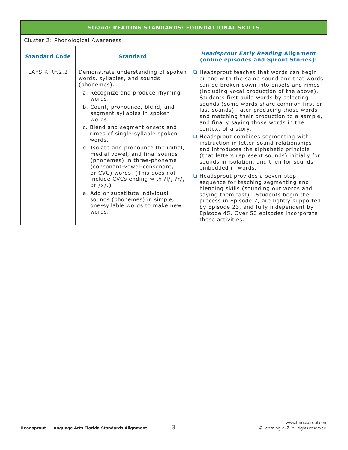Cluster 2: Phonological Awareness

| <b>Standard Code</b> | <b>Standard</b>                                                                                                                                                                                                                                                                                                                                                                                                                                                                                                                                                                                                                            | <b>Headsprout Early Reading Alignment</b><br>(online episodes and Sprout Stories):                                                                                                                                                                                                                                                                                                                                                                                                                                                                                                                                                                                                                                                                                                                                                                                                                                                                                                                                  |
|----------------------|--------------------------------------------------------------------------------------------------------------------------------------------------------------------------------------------------------------------------------------------------------------------------------------------------------------------------------------------------------------------------------------------------------------------------------------------------------------------------------------------------------------------------------------------------------------------------------------------------------------------------------------------|---------------------------------------------------------------------------------------------------------------------------------------------------------------------------------------------------------------------------------------------------------------------------------------------------------------------------------------------------------------------------------------------------------------------------------------------------------------------------------------------------------------------------------------------------------------------------------------------------------------------------------------------------------------------------------------------------------------------------------------------------------------------------------------------------------------------------------------------------------------------------------------------------------------------------------------------------------------------------------------------------------------------|
| LAFS.K.RF.2.2        | Demonstrate understanding of spoken<br>words, syllables, and sounds<br>(phonemes).<br>a. Recognize and produce rhyming<br>words.<br>b. Count, pronounce, blend, and<br>segment syllables in spoken<br>words.<br>c. Blend and segment onsets and<br>rimes of single-syllable spoken<br>words.<br>d. Isolate and pronounce the initial,<br>medial vowel, and final sounds<br>(phonemes) in three-phoneme<br>(consonant-vowel-consonant,<br>or CVC) words. (This does not<br>include CVCs ending with /l/, /r/,<br>or $/x/$ .)<br>e. Add or substitute individual<br>sounds (phonemes) in simple,<br>one-syllable words to make new<br>words. | □ Headsprout teaches that words can begin<br>or end with the same sound and that words<br>can be broken down into onsets and rimes<br>(including vocal production of the above).<br>Students first build words by selecting<br>sounds (some words share common first or<br>last sounds), later producing those words<br>and matching their production to a sample,<br>and finally saying those words in the<br>context of a story.<br>□ Headsprout combines segmenting with<br>instruction in letter-sound relationships<br>and introduces the alphabetic principle<br>(that letters represent sounds) initially for<br>sounds in isolation, and then for sounds<br>embedded in words.<br>□ Headsprout provides a seven-step<br>sequence for teaching segmenting and<br>blending skills (sounding out words and<br>saying them fast). Students begin the<br>process in Episode 7, are lightly supported<br>by Episode 23, and fully independent by<br>Episode 45. Over 50 episodes incorporate<br>these activities. |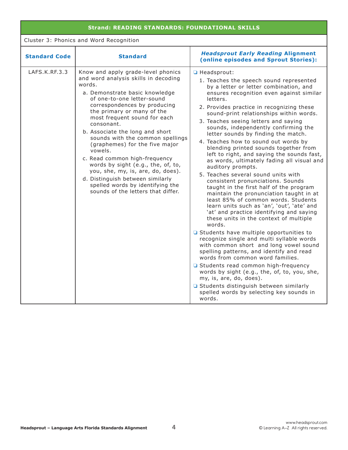Cluster 3: Phonics and Word Recognition

| <b>Standard Code</b> | <b>Standard</b>                                                                                                                                                                                                                                                                                                                                                                                                                                                                                                                                                                                                | <b>Headsprout Early Reading Alignment</b><br>(online episodes and Sprout Stories):                                                                                                                                                                                                                                                                                                                                                                                                                                                                                                                                                                                                                                                                                                                                                                                                                                                                                                                                                                                                                                                                                                                                                                                                                                                                                              |
|----------------------|----------------------------------------------------------------------------------------------------------------------------------------------------------------------------------------------------------------------------------------------------------------------------------------------------------------------------------------------------------------------------------------------------------------------------------------------------------------------------------------------------------------------------------------------------------------------------------------------------------------|---------------------------------------------------------------------------------------------------------------------------------------------------------------------------------------------------------------------------------------------------------------------------------------------------------------------------------------------------------------------------------------------------------------------------------------------------------------------------------------------------------------------------------------------------------------------------------------------------------------------------------------------------------------------------------------------------------------------------------------------------------------------------------------------------------------------------------------------------------------------------------------------------------------------------------------------------------------------------------------------------------------------------------------------------------------------------------------------------------------------------------------------------------------------------------------------------------------------------------------------------------------------------------------------------------------------------------------------------------------------------------|
| LAFS.K.RF.3.3        | Know and apply grade-level phonics<br>and word analysis skills in decoding<br>words.<br>a. Demonstrate basic knowledge<br>of one-to-one letter-sound<br>correspondences by producing<br>the primary or many of the<br>most frequent sound for each<br>consonant.<br>b. Associate the long and short<br>sounds with the common spellings<br>(graphemes) for the five major<br>vowels.<br>c. Read common high-frequency<br>words by sight (e.g., the, of, to,<br>you, she, my, is, are, do, does).<br>d. Distinguish between similarly<br>spelled words by identifying the<br>sounds of the letters that differ. | Headsprout:<br>1. Teaches the speech sound represented<br>by a letter or letter combination, and<br>ensures recognition even against similar<br>letters.<br>2. Provides practice in recognizing these<br>sound-print relationships within words.<br>3. Teaches seeing letters and saying<br>sounds, independently confirming the<br>letter sounds by finding the match.<br>4. Teaches how to sound out words by<br>blending printed sounds together from<br>left to right, and saying the sounds fast,<br>as words, ultimately fading all visual and<br>auditory prompts.<br>5. Teaches several sound units with<br>consistent pronunciations. Sounds<br>taught in the first half of the program<br>maintain the pronunciation taught in at<br>least 85% of common words. Students<br>learn units such as 'an', 'out', 'ate' and<br>'at' and practice identifying and saying<br>these units in the context of multiple<br>words.<br>$\Box$ Students have multiple opportunities to<br>recognize single and multi syllable words<br>with common short and long vowel sound<br>spelling patterns, and identify and read<br>words from common word families.<br>□ Students read common high-frequency<br>words by sight (e.g., the, of, to, you, she,<br>my, is, are, do, does).<br>□ Students distinguish between similarly<br>spelled words by selecting key sounds in<br>words. |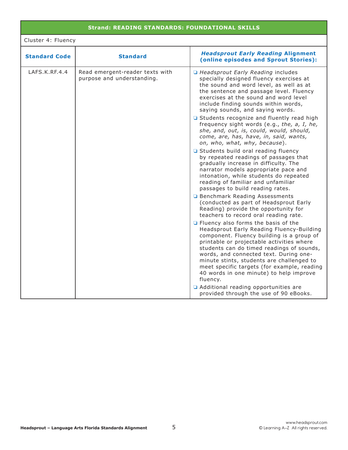## Cluster 4: Fluency

| <b>Standard Code</b> | <b>Standard</b>                                               | <b>Headsprout Early Reading Alignment</b><br>(online episodes and Sprout Stories):                                                                                                                                                                                                                                                                                                                                                                                                                                                                                                                                                                                                                                                                                                                    |
|----------------------|---------------------------------------------------------------|-------------------------------------------------------------------------------------------------------------------------------------------------------------------------------------------------------------------------------------------------------------------------------------------------------------------------------------------------------------------------------------------------------------------------------------------------------------------------------------------------------------------------------------------------------------------------------------------------------------------------------------------------------------------------------------------------------------------------------------------------------------------------------------------------------|
| LAFS.K.RF.4.4        | Read emergent-reader texts with<br>purpose and understanding. | □ Headsprout Early Reading includes<br>specially designed fluency exercises at<br>the sound and word level, as well as at<br>the sentence and passage level. Fluency<br>exercises at the sound and word level<br>include finding sounds within words,<br>saying sounds, and saying words.<br>□ Students recognize and fluently read high<br>frequency sight words (e.g., the, a, I, he,<br>she, and, out, is, could, would, should,<br>come, are, has, have, in, said, wants,<br>on, who, what, why, because).<br>□ Students build oral reading fluency<br>by repeated readings of passages that<br>gradually increase in difficulty. The<br>narrator models appropriate pace and<br>intonation, while students do repeated<br>reading of familiar and unfamiliar<br>passages to build reading rates. |
|                      |                                                               | <b>Q</b> Benchmark Reading Assessments<br>(conducted as part of Headsprout Early<br>Reading) provide the opportunity for<br>teachers to record oral reading rate.<br>$\Box$ Fluency also forms the basis of the<br>Headsprout Early Reading Fluency-Building<br>component. Fluency building is a group of<br>printable or projectable activities where<br>students can do timed readings of sounds,<br>words, and connected text. During one-<br>minute stints, students are challenged to                                                                                                                                                                                                                                                                                                            |
|                      |                                                               | meet specific targets (for example, reading<br>40 words in one minute) to help improve<br>fluency.<br>Additional reading opportunities are<br>provided through the use of 90 eBooks.                                                                                                                                                                                                                                                                                                                                                                                                                                                                                                                                                                                                                  |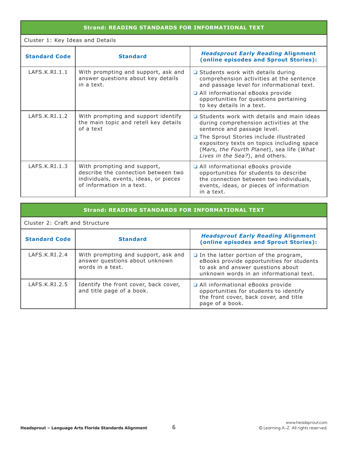Cluster 1: Key Ideas and Details

| <b>Standard Code</b> | <b>Standard</b>                                                                                                                          | <b>Headsprout Early Reading Alignment</b><br>(online episodes and Sprout Stories):                                                                                                                                                                                                                |  |
|----------------------|------------------------------------------------------------------------------------------------------------------------------------------|---------------------------------------------------------------------------------------------------------------------------------------------------------------------------------------------------------------------------------------------------------------------------------------------------|--|
| LAFS.K.RI.1.1        | With prompting and support, ask and<br>answer questions about key details<br>in a text.                                                  | $\Box$ Students work with details during<br>comprehension activities at the sentence<br>and passage level for informational text.<br>All informational eBooks provide<br>opportunities for questions pertaining<br>to key details in a text.                                                      |  |
| LAFS.K.RI.1.2        | With prompting and support identify<br>the main topic and retell key details<br>of a text                                                | $\Box$ Students work with details and main ideas<br>during comprehension activities at the<br>sentence and passage level.<br>The Sprout Stories include illustrated<br>expository texts on topics including space<br>(Mars, the Fourth Planet), sea life (What<br>Lives in the Sea?), and others. |  |
| LAFS.K.RI.1.3        | With prompting and support,<br>describe the connection between two<br>individuals, events, ideas, or pieces<br>of information in a text. | All informational eBooks provide<br>opportunities for students to describe<br>the connection between two individuals,<br>events, ideas, or pieces of information<br>in a text.                                                                                                                    |  |

| ' Strand: READING STANDARDS FOR INFORMATIONAL TEXT. |  |
|-----------------------------------------------------|--|
|                                                     |  |

|  |  | Cluster 2: Craft and Structure |
|--|--|--------------------------------|

| <b>Standard Code</b> | <b>Standard</b>                                                                           | <b>Headsprout Early Reading Alignment</b><br>(online episodes and Sprout Stories):                                                                                        |  |
|----------------------|-------------------------------------------------------------------------------------------|---------------------------------------------------------------------------------------------------------------------------------------------------------------------------|--|
| LAFS.K.RI.2.4        | With prompting and support, ask and<br>answer questions about unknown<br>words in a text. | $\Box$ In the latter portion of the program,<br>eBooks provide opportunities for students<br>to ask and answer questions about<br>unknown words in an informational text. |  |
| LAFS.K.RI.2.5        | Identify the front cover, back cover,<br>and title page of a book.                        | All informational eBooks provide<br>opportunities for students to identify<br>the front cover, back cover, and title<br>page of a book.                                   |  |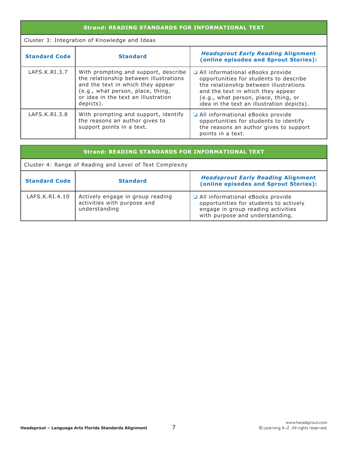Cluster 3: Integration of Knowledge and Ideas

| <b>Standard Code</b> | <b>Standard</b>                                                                                                                                                                                              | <b>Headsprout Early Reading Alignment</b><br>(online episodes and Sprout Stories):                                                                                                                                                              |
|----------------------|--------------------------------------------------------------------------------------------------------------------------------------------------------------------------------------------------------------|-------------------------------------------------------------------------------------------------------------------------------------------------------------------------------------------------------------------------------------------------|
| LAFS.K.RI.3.7        | With prompting and support, describe<br>the relationship between illustrations<br>and the text in which they appear<br>(e.g., what person, place, thing,<br>or idea in the text an illustration<br>depicts). | All informational eBooks provide<br>opportunities for students to describe<br>the relationship between illustrations<br>and the text in which they appear<br>(e.g., what person, place, thing, or<br>idea in the text an illustration depicts). |
| LAFS.K.RI.3.8        | With prompting and support, identify<br>the reasons an author gives to<br>support points in a text.                                                                                                          | All informational eBooks provide<br>opportunities for students to identify<br>the reasons an author gives to support<br>points in a text.                                                                                                       |

| <b>Strand: READING STANDARDS FOR INFORMATIONAL TEXT</b>                                                                       |                                                                                  |                                                                                                                                                     |
|-------------------------------------------------------------------------------------------------------------------------------|----------------------------------------------------------------------------------|-----------------------------------------------------------------------------------------------------------------------------------------------------|
| Cluster 4: Range of Reading and Level of Text Complexity                                                                      |                                                                                  |                                                                                                                                                     |
| <b>Headsprout Early Reading Alignment</b><br><b>Standard Code</b><br><b>Standard</b><br>(online episodes and Sprout Stories): |                                                                                  |                                                                                                                                                     |
| LAFS.K.RI.4.10                                                                                                                | Actively engage in group reading<br>activities with purpose and<br>understanding | All informational eBooks provide<br>opportunities for students to actively<br>engage in group reading activities<br>with purpose and understanding. |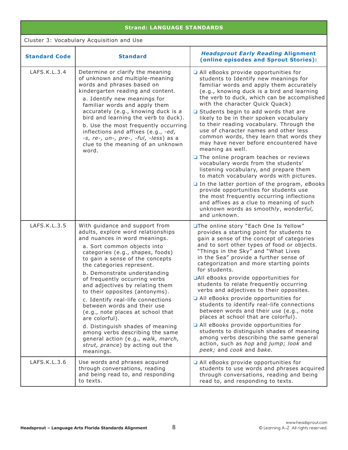| <b>Strand: LANGUAGE STANDARDS</b>         |                                                                                                                                                                                                                                                                                                                                                                                                                                                                                                                                                                                                                                                                         |                                                                                                                                                                                                                                                                                                                                                                                                                                                                                                                                                                                                                                                                                                                                                                                                                                                                                                                                                                        |
|-------------------------------------------|-------------------------------------------------------------------------------------------------------------------------------------------------------------------------------------------------------------------------------------------------------------------------------------------------------------------------------------------------------------------------------------------------------------------------------------------------------------------------------------------------------------------------------------------------------------------------------------------------------------------------------------------------------------------------|------------------------------------------------------------------------------------------------------------------------------------------------------------------------------------------------------------------------------------------------------------------------------------------------------------------------------------------------------------------------------------------------------------------------------------------------------------------------------------------------------------------------------------------------------------------------------------------------------------------------------------------------------------------------------------------------------------------------------------------------------------------------------------------------------------------------------------------------------------------------------------------------------------------------------------------------------------------------|
| Cluster 3: Vocabulary Acquisition and Use |                                                                                                                                                                                                                                                                                                                                                                                                                                                                                                                                                                                                                                                                         |                                                                                                                                                                                                                                                                                                                                                                                                                                                                                                                                                                                                                                                                                                                                                                                                                                                                                                                                                                        |
| <b>Standard Code</b>                      | <b>Standard</b>                                                                                                                                                                                                                                                                                                                                                                                                                                                                                                                                                                                                                                                         | <b>Headsprout Early Reading Alignment</b><br>(online episodes and Sprout Stories):                                                                                                                                                                                                                                                                                                                                                                                                                                                                                                                                                                                                                                                                                                                                                                                                                                                                                     |
| LAFS.K.L.3.4                              | Determine or clarify the meaning<br>of unknown and multiple-meaning<br>words and phrases based on<br>kindergarten reading and content.<br>a. Identify new meanings for<br>familiar words and apply them<br>accurately (e.g., knowing duck is a<br>bird and learning the verb to duck).<br>b. Use the most frequently occurring<br>inflections and affixes (e.g., -ed,<br>-s, re-, un-, pre-, -ful, -less) as a<br>clue to the meaning of an unknown<br>word.                                                                                                                                                                                                            | All eBooks provide opportunities for<br>students to Identify new meanings for<br>familiar words and apply them accurately<br>(e.g., knowing duck is a bird and learning<br>the verb to duck, which can be accomplished<br>with the character Quick Quack)<br>□ Students begin to add words that are<br>likely to be in their spoken vocabulary<br>to their reading vocabulary. Through the<br>use of character names and other less<br>common words, they learn that words they<br>may have never before encountered have<br>meaning as well.<br>$\Box$ The online program teaches or reviews<br>vocabulary words from the students'<br>listening vocabulary, and prepare them<br>to match vocabulary words with pictures.<br>In the latter portion of the program, eBooks<br>provide opportunities for students use<br>the most frequently occurring inflections<br>and affixes as a clue to meaning of such<br>unknown words as smoothly, wonderful,<br>and unknown. |
| LAFS.K.L.3.5                              | With guidance and support from<br>adults, explore word relationships<br>and nuances in word meanings.<br>a. Sort common objects into<br>categories (e.g., shapes, foods)<br>to gain a sense of the concepts<br>the categories represent.<br>b. Demonstrate understanding<br>of frequently occurring verbs<br>and adjectives by relating them<br>to their opposites (antonyms).<br>c. Identify real-life connections<br>between words and their use<br>(e.g., note places at school that<br>are colorful).<br>d. Distinguish shades of meaning<br>among verbs describing the same<br>general action (e.g., walk, march,<br>strut, prance) by acting out the<br>meanings. | □The online story "Each One Is Yellow"<br>provides a starting point for students to<br>gain a sense of the concept of categories<br>and to sort other types of food or objects.<br>"Things in the Sky" and "What Lives<br>in the Sea" provide a further sense of<br>categorization and more starting points<br>for students.<br><b>QAII</b> eBooks provide opportunities for<br>students to relate frequently occurring<br>verbs and adjectives to their opposites.<br>All eBooks provide opportunities for<br>students to identify real-life connections<br>between words and their use (e.g., note<br>places at school that are colorful).<br>All eBooks provide opportunities for<br>students to distinguish shades of meaning<br>among verbs describing the same general<br>action, such as hop and jump; look and<br>peek; and cook and bake.                                                                                                                     |
| LAFS.K.L.3.6                              | Use words and phrases acquired<br>through conversations, reading<br>and being read to, and responding<br>to texts.                                                                                                                                                                                                                                                                                                                                                                                                                                                                                                                                                      | All eBooks provide opportunities for<br>students to use words and phrases acquired<br>through conversations, reading and being<br>read to, and responding to texts.                                                                                                                                                                                                                                                                                                                                                                                                                                                                                                                                                                                                                                                                                                                                                                                                    |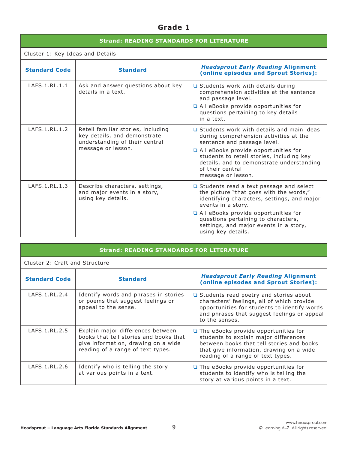# **Grade 1**

| ' Strand: READING STANDARDS FOR LITERATURE. |  |
|---------------------------------------------|--|
|---------------------------------------------|--|

Cluster 1: Key Ideas and Details

| Cluster 1: Key Ideas and Details |                                                                                                                            |                                                                                                                                                                                                                                                                                                          |
|----------------------------------|----------------------------------------------------------------------------------------------------------------------------|----------------------------------------------------------------------------------------------------------------------------------------------------------------------------------------------------------------------------------------------------------------------------------------------------------|
| <b>Standard Code</b>             | <b>Standard</b>                                                                                                            | <b>Headsprout Early Reading Alignment</b><br>(online episodes and Sprout Stories):                                                                                                                                                                                                                       |
| LAFS.1.RL.1.1                    | Ask and answer questions about key<br>details in a text.                                                                   | $\Box$ Students work with details during<br>comprehension activities at the sentence<br>and passage level.<br>All eBooks provide opportunities for<br>questions pertaining to key details<br>in a text.                                                                                                  |
| LAFS.1.RL.1.2                    | Retell familiar stories, including<br>key details, and demonstrate<br>understanding of their central<br>message or lesson. | $\Box$ Students work with details and main ideas<br>during comprehension activities at the<br>sentence and passage level.<br>All eBooks provide opportunities for<br>students to retell stories, including key<br>details, and to demonstrate understanding<br>of their central<br>message or lesson.    |
| LAFS.1.RL.1.3                    | Describe characters, settings,<br>and major events in a story,<br>using key details.                                       | □ Students read a text passage and select<br>the picture "that goes with the words,"<br>identifying characters, settings, and major<br>events in a story.<br>All eBooks provide opportunities for<br>questions pertaining to characters,<br>settings, and major events in a story,<br>using key details. |

| <b>Strand: READING STANDARDS FOR LITERATURE</b> |                                                                                                                                                         |                                                                                                                                                                                                                    |
|-------------------------------------------------|---------------------------------------------------------------------------------------------------------------------------------------------------------|--------------------------------------------------------------------------------------------------------------------------------------------------------------------------------------------------------------------|
| Cluster 2: Craft and Structure                  |                                                                                                                                                         |                                                                                                                                                                                                                    |
| <b>Standard Code</b>                            | <b>Standard</b>                                                                                                                                         | <b>Headsprout Early Reading Alignment</b><br>(online episodes and Sprout Stories):                                                                                                                                 |
| LAFS.1.RL.2.4                                   | Identify words and phrases in stories<br>or poems that suggest feelings or<br>appeal to the sense.                                                      | $\Box$ Students read poetry and stories about<br>characters' feelings, all of which provide<br>opportunities for students to identify words<br>and phrases that suggest feelings or appeal<br>to the senses.       |
| LAFS.1.RL.2.5                                   | Explain major differences between<br>books that tell stories and books that<br>give information, drawing on a wide<br>reading of a range of text types. | $\Box$ The eBooks provide opportunities for<br>students to explain major differences<br>between books that tell stories and books<br>that give information, drawing on a wide<br>reading of a range of text types. |
| LAFS.1.RL.2.6                                   | Identify who is telling the story<br>at various points in a text.                                                                                       | $\Box$ The eBooks provide opportunities for<br>students to identify who is telling the<br>story at various points in a text.                                                                                       |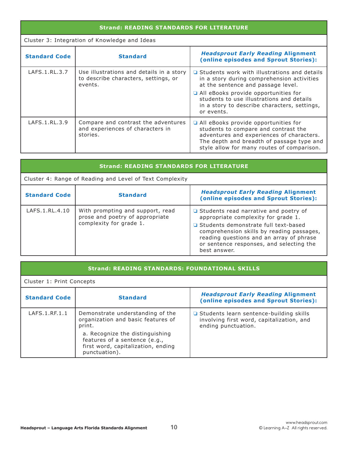## **Strand: READING STANDARDS FOR LITERATURE**

## Cluster 3: Integration of Knowledge and Ideas

| <b>Standard Code</b> | <b>Standard</b>                                                                             | <b>Headsprout Early Reading Alignment</b><br>(online episodes and Sprout Stories):                                                                                                                                                                                                         |
|----------------------|---------------------------------------------------------------------------------------------|--------------------------------------------------------------------------------------------------------------------------------------------------------------------------------------------------------------------------------------------------------------------------------------------|
| LAFS.1.RL.3.7        | Use illustrations and details in a story<br>to describe characters, settings, or<br>events. | $\Box$ Students work with illustrations and details<br>in a story during comprehension activities<br>at the sentence and passage level.<br>All eBooks provide opportunities for<br>students to use illustrations and details<br>in a story to describe characters, settings,<br>or events. |
| LAFS.1.RL.3.9        | Compare and contrast the adventures<br>and experiences of characters in<br>stories.         | $\Box$ All eBooks provide opportunities for<br>students to compare and contrast the<br>adventures and experiences of characters.<br>The depth and breadth of passage type and<br>style allow for many routes of comparison.                                                                |

| <b>Strand: READING STANDARDS FOR LITERATURE</b> |                                                                     |                                                                                                                                                                                             |  |
|-------------------------------------------------|---------------------------------------------------------------------|---------------------------------------------------------------------------------------------------------------------------------------------------------------------------------------------|--|
|                                                 | Cluster 4: Range of Reading and Level of Text Complexity            |                                                                                                                                                                                             |  |
| <b>Standard Code</b>                            | <b>Standard</b>                                                     | <b>Headsprout Early Reading Alignment</b><br>(online episodes and Sprout Stories):                                                                                                          |  |
| LAFS.1.RL.4.10                                  | With prompting and support, read<br>prose and poetry of appropriate | □ Students read narrative and poetry of<br>appropriate complexity for grade 1.                                                                                                              |  |
|                                                 | complexity for grade 1.                                             | □ Students demonstrate full text-based<br>comprehension skills by reading passages,<br>reading questions and an array of phrase<br>or sentence responses, and selecting the<br>best answer. |  |

| Strand: READING STANDARDS: FOUNDATIONAL SKILLS |  |
|------------------------------------------------|--|
|                                                |  |

Cluster 1: Print Concepts

| <b>Standard Code</b> | <b>Standard</b>                                                                                                                                                                                             | <b>Headsprout Early Reading Alignment</b><br>(online episodes and Sprout Stories):                            |
|----------------------|-------------------------------------------------------------------------------------------------------------------------------------------------------------------------------------------------------------|---------------------------------------------------------------------------------------------------------------|
| LAFS.1.RF.1.1        | Demonstrate understanding of the<br>organization and basic features of<br>print.<br>a. Recognize the distinguishing<br>features of a sentence (e.g.,<br>first word, capitalization, ending<br>punctuation). | □ Students learn sentence-building skills<br>involving first word, capitalization, and<br>ending punctuation. |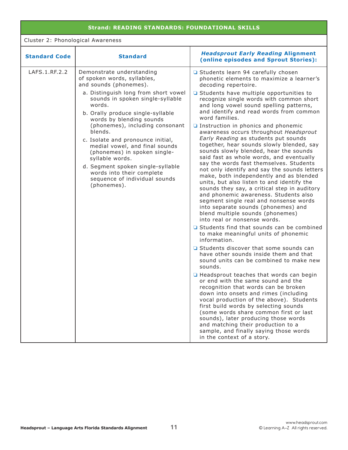## Cluster 2: Phonological Awareness

| <b>Standard Code</b> | <b>Standard</b>                                                                                                                                                                                                                                                                                                                                                                                                                                                                                                                     | <b>Headsprout Early Reading Alignment</b><br>(online episodes and Sprout Stories):                                                                                                                                                                                                                                                                                                                                                                                                                                                                                                                                                                                                                                                                                                                                                                                                                                                                                                                                                                                                                                                                                                                                                                                                                                                                                                                                                                                                                                                                                                                                                                                                                                        |
|----------------------|-------------------------------------------------------------------------------------------------------------------------------------------------------------------------------------------------------------------------------------------------------------------------------------------------------------------------------------------------------------------------------------------------------------------------------------------------------------------------------------------------------------------------------------|---------------------------------------------------------------------------------------------------------------------------------------------------------------------------------------------------------------------------------------------------------------------------------------------------------------------------------------------------------------------------------------------------------------------------------------------------------------------------------------------------------------------------------------------------------------------------------------------------------------------------------------------------------------------------------------------------------------------------------------------------------------------------------------------------------------------------------------------------------------------------------------------------------------------------------------------------------------------------------------------------------------------------------------------------------------------------------------------------------------------------------------------------------------------------------------------------------------------------------------------------------------------------------------------------------------------------------------------------------------------------------------------------------------------------------------------------------------------------------------------------------------------------------------------------------------------------------------------------------------------------------------------------------------------------------------------------------------------------|
| LAFS.1.RF.2.2        | Demonstrate understanding<br>of spoken words, syllables,<br>and sounds (phonemes).<br>a. Distinguish long from short vowel<br>sounds in spoken single-syllable<br>words.<br>b. Orally produce single-syllable<br>words by blending sounds<br>(phonemes), including consonant<br>blends.<br>c. Isolate and pronounce initial,<br>medial vowel, and final sounds<br>(phonemes) in spoken single-<br>syllable words.<br>d. Segment spoken single-syllable<br>words into their complete<br>sequence of individual sounds<br>(phonemes). | Students learn 94 carefully chosen<br>phonetic elements to maximize a learner's<br>decoding repertoire.<br>□ Students have multiple opportunities to<br>recognize single words with common short<br>and long vowel sound spelling patterns,<br>and identify and read words from common<br>word families.<br>$\Box$ Instruction in phonics and phonemic<br>awareness occurs throughout Headsprout<br>Early Reading as students put sounds<br>together, hear sounds slowly blended, say<br>sounds slowly blended, hear the sounds<br>said fast as whole words, and eventually<br>say the words fast themselves. Students<br>not only identify and say the sounds letters<br>make, both independently and as blended<br>units, but also listen to and identify the<br>sounds they say, a critical step in auditory<br>and phonemic awareness. Students also<br>segment single real and nonsense words<br>into separate sounds (phonemes) and<br>blend multiple sounds (phonemes)<br>into real or nonsense words.<br>□ Students find that sounds can be combined<br>to make meaningful units of phonemic<br>information.<br>□ Students discover that some sounds can<br>have other sounds inside them and that<br>sound units can be combined to make new<br>sounds.<br>□ Headsprout teaches that words can begin<br>or end with the same sound and the<br>recognition that words can be broken<br>down into onsets and rimes (including<br>vocal production of the above). Students<br>first build words by selecting sounds<br>(some words share common first or last<br>sounds), later producing those words<br>and matching their production to a<br>sample, and finally saying those words<br>in the context of a story. |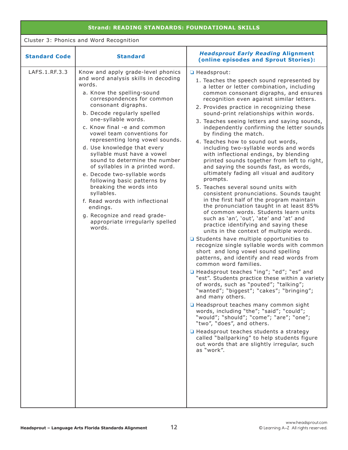Cluster 3: Phonics and Word Recognition

| <b>Standard Code</b> | <b>Standard</b>                                                                                                                                                                                                                                                                                                                                                                                                                                                                                                                                                                                                                                                                                    | <b>Headsprout Early Reading Alignment</b><br>(online episodes and Sprout Stories):                                                                                                                                                                                                                                                                                                                                                                                                                                                                                                                                                                                                                                                                                                                                                                                                                                                                                                                                                                                                                                                                                                                                                                                                                                                                                                                                                                                                                                                                                                                                                                                                                                                                                                         |
|----------------------|----------------------------------------------------------------------------------------------------------------------------------------------------------------------------------------------------------------------------------------------------------------------------------------------------------------------------------------------------------------------------------------------------------------------------------------------------------------------------------------------------------------------------------------------------------------------------------------------------------------------------------------------------------------------------------------------------|--------------------------------------------------------------------------------------------------------------------------------------------------------------------------------------------------------------------------------------------------------------------------------------------------------------------------------------------------------------------------------------------------------------------------------------------------------------------------------------------------------------------------------------------------------------------------------------------------------------------------------------------------------------------------------------------------------------------------------------------------------------------------------------------------------------------------------------------------------------------------------------------------------------------------------------------------------------------------------------------------------------------------------------------------------------------------------------------------------------------------------------------------------------------------------------------------------------------------------------------------------------------------------------------------------------------------------------------------------------------------------------------------------------------------------------------------------------------------------------------------------------------------------------------------------------------------------------------------------------------------------------------------------------------------------------------------------------------------------------------------------------------------------------------|
| LAFS.1.RF.3.3        | Know and apply grade-level phonics<br>and word analysis skills in decoding<br>words.<br>a. Know the spelling-sound<br>correspondences for common<br>consonant digraphs.<br>b. Decode regularly spelled<br>one-syllable words.<br>c. Know final -e and common<br>vowel team conventions for<br>representing long vowel sounds.<br>d. Use knowledge that every<br>syllable must have a vowel<br>sound to determine the number<br>of syllables in a printed word.<br>e. Decode two-syllable words<br>following basic patterns by<br>breaking the words into<br>syllables.<br>f. Read words with inflectional<br>endings.<br>g. Recognize and read grade-<br>appropriate irregularly spelled<br>words. | Headsprout:<br>1. Teaches the speech sound represented by<br>a letter or letter combination, including<br>common consonant digraphs, and ensures<br>recognition even against similar letters.<br>2. Provides practice in recognizing these<br>sound-print relationships within words.<br>3. Teaches seeing letters and saying sounds,<br>independently confirming the letter sounds<br>by finding the match.<br>4. Teaches how to sound out words,<br>including two-syllable words and words<br>with inflectional endings, by blending<br>printed sounds together from left to right,<br>and saying the sounds fast, as words,<br>ultimately fading all visual and auditory<br>prompts.<br>5. Teaches several sound units with<br>consistent pronunciations. Sounds taught<br>in the first half of the program maintain<br>the pronunciation taught in at least 85%<br>of common words. Students learn units<br>such as 'an', 'out', 'ate' and 'at' and<br>practice identifying and saying these<br>units in the context of multiple words.<br>□ Students have multiple opportunities to<br>recognize single syllable words with common<br>short and long vowel sound spelling<br>patterns, and identify and read words from<br>common word families.<br>□ Headsprout teaches "ing"; "ed"; "es" and<br>"est". Students practice these within a variety<br>of words, such as "pouted"; "talking";<br>"wanted"; "biggest"; "cakes"; "bringing";<br>and many others.<br>□ Headsprout teaches many common sight<br>words, including "the"; "said"; "could";<br>"would"; "should"; "come"; "are"; "one";<br>"two", "does", and others.<br>□ Headsprout teaches students a strategy<br>called "ballparking" to help students figure<br>out words that are slightly irregular, such<br>as "work". |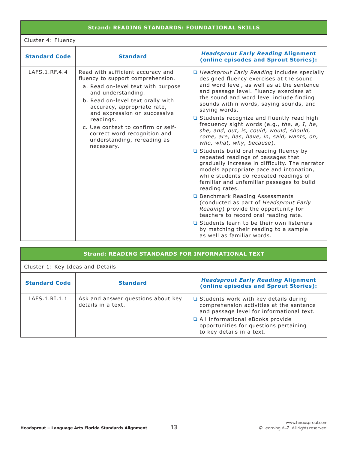## Cluster 4: Fluency

| <b>Standard Code</b> | <b>Standard</b>                                                                                                                                                                                                                                                                                                                                                        | <b>Headsprout Early Reading Alignment</b><br>(online episodes and Sprout Stories):                                                                                                                                                                                                                                                                                                                                                                                                                                                                                                                                                                                                                                                                                                                                                                                                                                                                                                                                                                                                        |
|----------------------|------------------------------------------------------------------------------------------------------------------------------------------------------------------------------------------------------------------------------------------------------------------------------------------------------------------------------------------------------------------------|-------------------------------------------------------------------------------------------------------------------------------------------------------------------------------------------------------------------------------------------------------------------------------------------------------------------------------------------------------------------------------------------------------------------------------------------------------------------------------------------------------------------------------------------------------------------------------------------------------------------------------------------------------------------------------------------------------------------------------------------------------------------------------------------------------------------------------------------------------------------------------------------------------------------------------------------------------------------------------------------------------------------------------------------------------------------------------------------|
| LAFS.1.RF.4.4        | Read with sufficient accuracy and<br>fluency to support comprehension.<br>a. Read on-level text with purpose<br>and understanding.<br>b. Read on-level text orally with<br>accuracy, appropriate rate,<br>and expression on successive<br>readings.<br>c. Use context to confirm or self-<br>correct word recognition and<br>understanding, rereading as<br>necessary. | □ Headsprout Early Reading includes specially<br>designed fluency exercises at the sound<br>and word level, as well as at the sentence<br>and passage level. Fluency exercises at<br>the sound and word level include finding<br>sounds within words, saying sounds, and<br>saying words.<br>□ Students recognize and fluently read high<br>frequency sight words (e.g., the, a, I, he,<br>she, and, out, is, could, would, should,<br>come, are, has, have, in, said, wants, on,<br>who, what, why, because).<br>□ Students build oral reading fluency by<br>repeated readings of passages that<br>gradually increase in difficulty. The narrator<br>models appropriate pace and intonation,<br>while students do repeated readings of<br>familiar and unfamiliar passages to build<br>reading rates.<br>□ Benchmark Reading Assessments<br>(conducted as part of Headsprout Early<br>Reading) provide the opportunity for<br>teachers to record oral reading rate.<br>□ Students learn to be their own listeners<br>by matching their reading to a sample<br>as well as familiar words. |

| <b>Strand: READING STANDARDS FOR INFORMATIONAL TEXT</b> |                                                          |                                                                                                                                                                                                                                                  |
|---------------------------------------------------------|----------------------------------------------------------|--------------------------------------------------------------------------------------------------------------------------------------------------------------------------------------------------------------------------------------------------|
| Cluster 1: Key Ideas and Details                        |                                                          |                                                                                                                                                                                                                                                  |
| <b>Standard Code</b>                                    | <b>Standard</b>                                          | <b>Headsprout Early Reading Alignment</b><br>(online episodes and Sprout Stories):                                                                                                                                                               |
| LAFS.1.RI.1.1                                           | Ask and answer questions about key<br>details in a text. | $\Box$ Students work with key details during<br>comprehension activities at the sentence<br>and passage level for informational text.<br>All informational eBooks provide<br>opportunities for questions pertaining<br>to key details in a text. |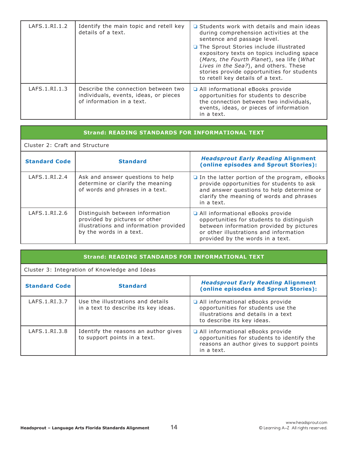| LAFS.1.RI.1.2 | Identify the main topic and retell key<br>details of a text.                                              | $\Box$ Students work with details and main ideas<br>during comprehension activities at the<br>sentence and passage level.<br>The Sprout Stories include illustrated<br>expository texts on topics including space<br>(Mars, the Fourth Planet), sea life (What<br>Lives in the Sea?), and others. These<br>stories provide opportunities for students<br>to retell key details of a text. |
|---------------|-----------------------------------------------------------------------------------------------------------|-------------------------------------------------------------------------------------------------------------------------------------------------------------------------------------------------------------------------------------------------------------------------------------------------------------------------------------------------------------------------------------------|
| LAFS.1.RI.1.3 | Describe the connection between two<br>individuals, events, ideas, or pieces<br>of information in a text. | All informational eBooks provide<br>opportunities for students to describe<br>the connection between two individuals,<br>events, ideas, or pieces of information<br>in a text.                                                                                                                                                                                                            |

## Cluster 2: Craft and Structure

| <b>Standard Code</b> | <b>Standard</b>                                                                                                                       | <b>Headsprout Early Reading Alignment</b><br>(online episodes and Sprout Stories):                                                                                                                      |
|----------------------|---------------------------------------------------------------------------------------------------------------------------------------|---------------------------------------------------------------------------------------------------------------------------------------------------------------------------------------------------------|
| LAFS.1.RI.2.4        | Ask and answer questions to help<br>determine or clarify the meaning<br>of words and phrases in a text.                               | $\Box$ In the latter portion of the program, eBooks<br>provide opportunities for students to ask<br>and answer questions to help determine or<br>clarify the meaning of words and phrases<br>in a text. |
| LAFS.1.RI.2.6        | Distinguish between information<br>provided by pictures or other<br>illustrations and information provided<br>by the words in a text. | All informational eBooks provide<br>opportunities for students to distinguish<br>between information provided by pictures<br>or other illustrations and information<br>provided by the words in a text. |

#### **Strand: READING STANDARDS FOR INFORMATIONAL TEXT**

Cluster 3: Integration of Knowledge and Ideas

| <b>Standard Code</b> | <b>Standard</b>                                                           | <b>Headsprout Early Reading Alignment</b><br>(online episodes and Sprout Stories):                                                          |
|----------------------|---------------------------------------------------------------------------|---------------------------------------------------------------------------------------------------------------------------------------------|
| LAFS.1.RI.3.7        | Use the illustrations and details<br>in a text to describe its key ideas. | All informational eBooks provide<br>opportunities for students use the<br>illustrations and details in a text<br>to describe its key ideas. |
| LAFS.1.RI.3.8        | Identify the reasons an author gives<br>to support points in a text.      | All informational eBooks provide<br>opportunities for students to identify the<br>reasons an author gives to support points<br>in a text.   |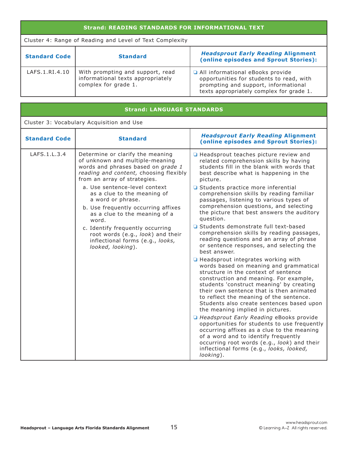| <b>Strand: READING STANDARDS FOR INFORMATIONAL TEXT</b> |  |
|---------------------------------------------------------|--|
|                                                         |  |

| Cluster 4: Range of Reading and Level of Text Complexity |                                                                                               |                                                                                                                                                                  |
|----------------------------------------------------------|-----------------------------------------------------------------------------------------------|------------------------------------------------------------------------------------------------------------------------------------------------------------------|
| <b>Standard Code</b>                                     | <b>Standard</b>                                                                               | <b>Headsprout Early Reading Alignment</b><br>(online episodes and Sprout Stories):                                                                               |
| LAFS.1.RI.4.10                                           | With prompting and support, read<br>informational texts appropriately<br>complex for grade 1. | All informational eBooks provide<br>opportunities for students to read, with<br>prompting and support, informational<br>texts appropriately complex for grade 1. |

| <b>Strand: LANGUAGE STANDARDS</b> |                                                                                                                                                                                     |                                                                                                                                                                                                                                                                                                                                                                                           |  |
|-----------------------------------|-------------------------------------------------------------------------------------------------------------------------------------------------------------------------------------|-------------------------------------------------------------------------------------------------------------------------------------------------------------------------------------------------------------------------------------------------------------------------------------------------------------------------------------------------------------------------------------------|--|
|                                   | Cluster 3: Vocabulary Acquisition and Use                                                                                                                                           |                                                                                                                                                                                                                                                                                                                                                                                           |  |
| <b>Standard Code</b>              | <b>Standard</b>                                                                                                                                                                     | <b>Headsprout Early Reading Alignment</b><br>(online episodes and Sprout Stories):                                                                                                                                                                                                                                                                                                        |  |
| LAFS.1.L.3.4                      | Determine or clarify the meaning<br>of unknown and multiple-meaning<br>words and phrases based on grade 1<br>reading and content, choosing flexibly<br>from an array of strategies. | □ Headsprout teaches picture review and<br>related comprehension skills by having<br>students fill in the blank with words that<br>best describe what is happening in the<br>picture.                                                                                                                                                                                                     |  |
|                                   | a. Use sentence-level context<br>as a clue to the meaning of<br>a word or phrase.<br>b. Use frequently occurring affixes<br>as a clue to the meaning of a<br>word.                  | □ Students practice more inferential<br>comprehension skills by reading familiar<br>passages, listening to various types of<br>comprehension questions, and selecting<br>the picture that best answers the auditory<br>question.                                                                                                                                                          |  |
|                                   | c. Identify frequently occurring<br>root words (e.g., look) and their<br>inflectional forms (e.g., looks,<br>looked, looking).                                                      | □ Students demonstrate full text-based<br>comprehension skills by reading passages,<br>reading questions and an array of phrase<br>or sentence responses, and selecting the<br>best answer.                                                                                                                                                                                               |  |
|                                   |                                                                                                                                                                                     | $\Box$ Headsprout integrates working with<br>words based on meaning and grammatical<br>structure in the context of sentence<br>construction and meaning. For example,<br>students 'construct meaning' by creating<br>their own sentence that is then animated<br>to reflect the meaning of the sentence.<br>Students also create sentences based upon<br>the meaning implied in pictures. |  |
|                                   |                                                                                                                                                                                     | Headsprout Early Reading eBooks provide<br>opportunities for students to use frequently<br>occurring affixes as a clue to the meaning<br>of a word and to identify frequently<br>occurring root words (e.g., look) and their<br>inflectional forms (e.g., looks, looked,<br>looking).                                                                                                     |  |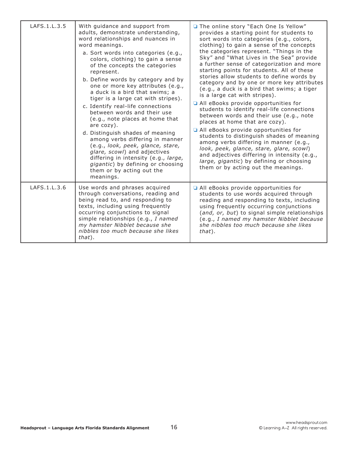| LAFS.1.L.3.5 | With guidance and support from<br>adults, demonstrate understanding,<br>word relationships and nuances in<br>word meanings.<br>a. Sort words into categories (e.g.,<br>colors, clothing) to gain a sense<br>of the concepts the categories<br>represent.<br>b. Define words by category and by<br>one or more key attributes (e.g.,<br>a duck is a bird that swims; a<br>tiger is a large cat with stripes).<br>c. Identify real-life connections<br>between words and their use<br>(e.g., note places at home that<br>are cozy).<br>d. Distinguish shades of meaning<br>among verbs differing in manner<br>(e.g., look, peek, glance, stare,<br>glare, scowl) and adjectives<br>differing in intensity (e.g., large,<br>gigantic) by defining or choosing<br>them or by acting out the<br>meanings. | □ The online story "Each One Is Yellow"<br>provides a starting point for students to<br>sort words into categories (e.g., colors,<br>clothing) to gain a sense of the concepts<br>the categories represent. "Things in the<br>Sky" and "What Lives in the Sea" provide<br>a further sense of categorization and more<br>starting points for students. All of these<br>stories allow students to define words by<br>category and by one or more key attributes<br>(e.g., a duck is a bird that swims; a tiger<br>is a large cat with stripes).<br>All eBooks provide opportunities for<br>students to identify real-life connections<br>between words and their use (e.g., note<br>places at home that are cozy).<br>All eBooks provide opportunities for<br>students to distinguish shades of meaning<br>among verbs differing in manner (e.g.,<br>look, peek, glance, stare, glare, scowl)<br>and adjectives differing in intensity (e.g.,<br>large, gigantic) by defining or choosing<br>them or by acting out the meanings. |
|--------------|------------------------------------------------------------------------------------------------------------------------------------------------------------------------------------------------------------------------------------------------------------------------------------------------------------------------------------------------------------------------------------------------------------------------------------------------------------------------------------------------------------------------------------------------------------------------------------------------------------------------------------------------------------------------------------------------------------------------------------------------------------------------------------------------------|--------------------------------------------------------------------------------------------------------------------------------------------------------------------------------------------------------------------------------------------------------------------------------------------------------------------------------------------------------------------------------------------------------------------------------------------------------------------------------------------------------------------------------------------------------------------------------------------------------------------------------------------------------------------------------------------------------------------------------------------------------------------------------------------------------------------------------------------------------------------------------------------------------------------------------------------------------------------------------------------------------------------------------|
| LAFS.1.L.3.6 | Use words and phrases acquired<br>through conversations, reading and<br>being read to, and responding to<br>texts, including using frequently<br>occurring conjunctions to signal<br>simple relationships (e.g., I named<br>my hamster Nibblet because she<br>nibbles too much because she likes<br>that).                                                                                                                                                                                                                                                                                                                                                                                                                                                                                           | All eBooks provide opportunities for<br>students to use words acquired through<br>reading and responding to texts, including<br>using frequently occurring conjunctions<br>(and, or, but) to signal simple relationships<br>(e.g., I named my hamster Nibblet because<br>she nibbles too much because she likes<br>that).                                                                                                                                                                                                                                                                                                                                                                                                                                                                                                                                                                                                                                                                                                      |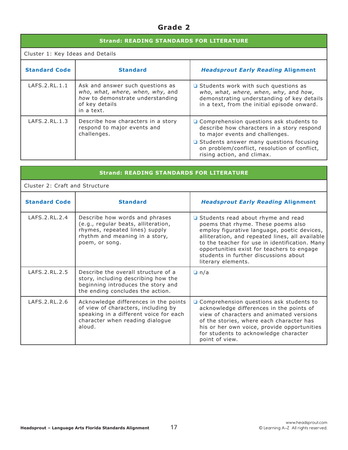# **Grade 2**

## **Strand: READING STANDARDS FOR LITERATURE**

Cluster 1: Key Ideas and Details

| <b>Standard Code</b> | <b>Standard</b>                                                                                                                          | <b>Headsprout Early Reading Alignment</b>                                                                                                                                                                                                                  |
|----------------------|------------------------------------------------------------------------------------------------------------------------------------------|------------------------------------------------------------------------------------------------------------------------------------------------------------------------------------------------------------------------------------------------------------|
| LAFS.2.RL.1.1        | Ask and answer such questions as<br>who, what, where, when, why, and<br>how to demonstrate understanding<br>of key details<br>in a text. | $\Box$ Students work with such questions as<br>who, what, where, when, why, and how,<br>demonstrating understanding of key details<br>in a text, from the initial episode onward.                                                                          |
| LAFS. 2. RL. 1.3     | Describe how characters in a story<br>respond to major events and<br>challenges.                                                         | $\Box$ Comprehension questions ask students to<br>describe how characters in a story respond<br>to major events and challenges.<br>□ Students answer many questions focusing<br>on problem/conflict, resolution of conflict,<br>rising action, and climax. |

| <b>Strand: READING STANDARDS FOR LITERATURE</b> |                                                                                                                                                                     |                                                                                                                                                                                                                                                                                                                                             |
|-------------------------------------------------|---------------------------------------------------------------------------------------------------------------------------------------------------------------------|---------------------------------------------------------------------------------------------------------------------------------------------------------------------------------------------------------------------------------------------------------------------------------------------------------------------------------------------|
| Cluster 2: Craft and Structure                  |                                                                                                                                                                     |                                                                                                                                                                                                                                                                                                                                             |
| <b>Standard Code</b>                            | <b>Standard</b>                                                                                                                                                     | <b>Headsprout Early Reading Alignment</b>                                                                                                                                                                                                                                                                                                   |
| LAFS.2.RL.2.4                                   | Describe how words and phrases<br>(e.g., regular beats, alliteration,<br>rhymes, repeated lines) supply<br>rhythm and meaning in a story,<br>poem, or song.         | □ Students read about rhyme and read<br>poems that rhyme. These poems also<br>employ figurative language, poetic devices,<br>alliteration, and repeated lines, all available<br>to the teacher for use in identification. Many<br>opportunities exist for teachers to engage<br>students in further discussions about<br>literary elements. |
| LAFS.2.RL.2.5                                   | Describe the overall structure of a<br>story, including describing how the<br>beginning introduces the story and<br>the ending concludes the action.                | $\Box$ n/a                                                                                                                                                                                                                                                                                                                                  |
| LAFS.2.RL.2.6                                   | Acknowledge differences in the points<br>of view of characters, including by<br>speaking in a different voice for each<br>character when reading dialogue<br>aloud. | $\Box$ Comprehension questions ask students to<br>acknowledge differences in the points of<br>view of characters and animated versions<br>of the stories, where each character has<br>his or her own voice, provide opportunities<br>for students to acknowledge character<br>point of view.                                                |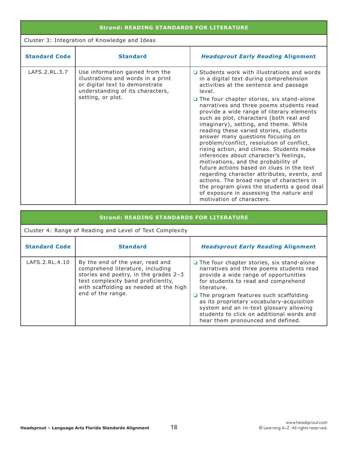| <b>Strand: READING STANDARDS FOR LITERATURE</b> |                                                                                                                                                                  |                                                                                                                                                                                                                                                                                                                                                                                                                                                                                                                                                                                                                                                                                                                                                                                                                                                                                                     |
|-------------------------------------------------|------------------------------------------------------------------------------------------------------------------------------------------------------------------|-----------------------------------------------------------------------------------------------------------------------------------------------------------------------------------------------------------------------------------------------------------------------------------------------------------------------------------------------------------------------------------------------------------------------------------------------------------------------------------------------------------------------------------------------------------------------------------------------------------------------------------------------------------------------------------------------------------------------------------------------------------------------------------------------------------------------------------------------------------------------------------------------------|
|                                                 | Cluster 3: Integration of Knowledge and Ideas                                                                                                                    |                                                                                                                                                                                                                                                                                                                                                                                                                                                                                                                                                                                                                                                                                                                                                                                                                                                                                                     |
| <b>Standard Code</b>                            | <b>Standard</b>                                                                                                                                                  | <b>Headsprout Early Reading Alignment</b>                                                                                                                                                                                                                                                                                                                                                                                                                                                                                                                                                                                                                                                                                                                                                                                                                                                           |
| LAFS.2.RL.3.7                                   | Use information gained from the<br>illustrations and words in a print<br>or digital text to demonstrate<br>understanding of its characters,<br>setting, or plot. | □ Students work with illustrations and words<br>in a digital text during comprehension<br>activities at the sentence and passage<br>level.<br>$\Box$ The four chapter stories, six stand-alone<br>narratives and three poems students read<br>provide a wide range of literary elements<br>such as plot, characters (both real and<br>imaginary), setting, and theme. While<br>reading these varied stories, students<br>answer many questions focusing on<br>problem/conflict, resolution of conflict,<br>rising action, and climax. Students make<br>inferences about character's feelings,<br>motivations, and the probability of<br>future actions based on clues in the text<br>regarding character attributes, events, and<br>actions. The broad range of characters in<br>the program gives the students a good deal<br>of exposure in assessing the nature and<br>motivation of characters. |

| <b>Strand: READING STANDARDS FOR LITERATURE</b> |                                                                                                                                                                                                                    |                                                                                                                                                                                                                                                                                                                                                                                                                       |
|-------------------------------------------------|--------------------------------------------------------------------------------------------------------------------------------------------------------------------------------------------------------------------|-----------------------------------------------------------------------------------------------------------------------------------------------------------------------------------------------------------------------------------------------------------------------------------------------------------------------------------------------------------------------------------------------------------------------|
|                                                 | Cluster 4: Range of Reading and Level of Text Complexity                                                                                                                                                           |                                                                                                                                                                                                                                                                                                                                                                                                                       |
| <b>Standard Code</b>                            | <b>Standard</b>                                                                                                                                                                                                    | <b>Headsprout Early Reading Alignment</b>                                                                                                                                                                                                                                                                                                                                                                             |
| LAFS.2.RL.4.10                                  | By the end of the year, read and<br>comprehend literature, including<br>stories and poetry, in the grades 2-3<br>text complexity band proficiently,<br>with scaffolding as needed at the high<br>end of the range. | $\Box$ The four chapter stories, six stand-alone<br>narratives and three poems students read<br>provide a wide range of opportunities<br>for students to read and comprehend<br>literature.<br>$\Box$ The program features such scaffolding<br>as its proprietary vocabulary-acquisition<br>system and an in-text glossary allowing<br>students to click on additional words and<br>hear them pronounced and defined. |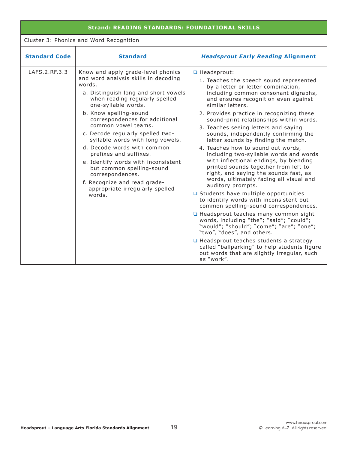Cluster 3: Phonics and Word Recognition

| <b>Standard Code</b> | <b>Standard</b>                                                                                                                                                                                                                                                                                                                                                                                                                                                                                                                                                                | <b>Headsprout Early Reading Alignment</b>                                                                                                                                                                                                                                                                                                                                                                                                                                                                                                                                                                                                                                                                                                                                                                                                                                                                                                                                                                                                                                                                                                          |
|----------------------|--------------------------------------------------------------------------------------------------------------------------------------------------------------------------------------------------------------------------------------------------------------------------------------------------------------------------------------------------------------------------------------------------------------------------------------------------------------------------------------------------------------------------------------------------------------------------------|----------------------------------------------------------------------------------------------------------------------------------------------------------------------------------------------------------------------------------------------------------------------------------------------------------------------------------------------------------------------------------------------------------------------------------------------------------------------------------------------------------------------------------------------------------------------------------------------------------------------------------------------------------------------------------------------------------------------------------------------------------------------------------------------------------------------------------------------------------------------------------------------------------------------------------------------------------------------------------------------------------------------------------------------------------------------------------------------------------------------------------------------------|
| LAFS. 2. RF. 3.3     | Know and apply grade-level phonics<br>and word analysis skills in decoding<br>words.<br>a. Distinguish long and short vowels<br>when reading regularly spelled<br>one-syllable words.<br>b. Know spelling-sound<br>correspondences for additional<br>common vowel teams.<br>c. Decode regularly spelled two-<br>syllable words with long vowels.<br>d. Decode words with common<br>prefixes and suffixes.<br>e. Identify words with inconsistent<br>but common spelling-sound<br>correspondences.<br>f. Recognize and read grade-<br>appropriate irregularly spelled<br>words. | Headsprout:<br>1. Teaches the speech sound represented<br>by a letter or letter combination,<br>including common consonant digraphs,<br>and ensures recognition even against<br>similar letters.<br>2. Provides practice in recognizing these<br>sound-print relationships within words.<br>3. Teaches seeing letters and saying<br>sounds, independently confirming the<br>letter sounds by finding the match.<br>4. Teaches how to sound out words,<br>including two-syllable words and words<br>with inflectional endings, by blending<br>printed sounds together from left to<br>right, and saying the sounds fast, as<br>words, ultimately fading all visual and<br>auditory prompts.<br>□ Students have multiple opportunities<br>to identify words with inconsistent but<br>common spelling-sound correspondences.<br>□ Headsprout teaches many common sight<br>words, including "the"; "said"; "could";<br>"would"; "should"; "come"; "are"; "one";<br>"two", "does", and others.<br>□ Headsprout teaches students a strategy<br>called "ballparking" to help students figure<br>out words that are slightly irregular, such<br>as "work". |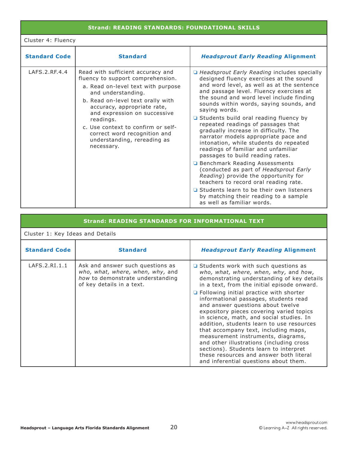## Cluster 4: Fluency

| <b>Standard Code</b> | <b>Standard</b>                                                                                                                                                                                                                                                                                                                                                        | <b>Headsprout Early Reading Alignment</b>                                                                                                                                                                                                                                                                                                                                                                                                                                                                                                                                                                                                                                                                                                                                                                                                                                        |
|----------------------|------------------------------------------------------------------------------------------------------------------------------------------------------------------------------------------------------------------------------------------------------------------------------------------------------------------------------------------------------------------------|----------------------------------------------------------------------------------------------------------------------------------------------------------------------------------------------------------------------------------------------------------------------------------------------------------------------------------------------------------------------------------------------------------------------------------------------------------------------------------------------------------------------------------------------------------------------------------------------------------------------------------------------------------------------------------------------------------------------------------------------------------------------------------------------------------------------------------------------------------------------------------|
| LAFS.2.RF.4.4        | Read with sufficient accuracy and<br>fluency to support comprehension.<br>a. Read on-level text with purpose<br>and understanding.<br>b. Read on-level text orally with<br>accuracy, appropriate rate,<br>and expression on successive<br>readings.<br>c. Use context to confirm or self-<br>correct word recognition and<br>understanding, rereading as<br>necessary. | □ Headsprout Early Reading includes specially<br>designed fluency exercises at the sound<br>and word level, as well as at the sentence<br>and passage level. Fluency exercises at<br>the sound and word level include finding<br>sounds within words, saying sounds, and<br>saying words.<br>$\Box$ Students build oral reading fluency by<br>repeated readings of passages that<br>gradually increase in difficulty. The<br>narrator models appropriate pace and<br>intonation, while students do repeated<br>readings of familiar and unfamiliar<br>passages to build reading rates.<br><b>Q</b> Benchmark Reading Assessments<br>(conducted as part of Headsprout Early<br>Reading) provide the opportunity for<br>teachers to record oral reading rate.<br>□ Students learn to be their own listeners<br>by matching their reading to a sample<br>as well as familiar words. |

| <b>Strand: READING STANDARDS FOR INFORMATIONAL TEXT</b> |                                                                                                                                       |                                                                                                                                                                                                                                                                                                                                                                                                                                                                                                                      |
|---------------------------------------------------------|---------------------------------------------------------------------------------------------------------------------------------------|----------------------------------------------------------------------------------------------------------------------------------------------------------------------------------------------------------------------------------------------------------------------------------------------------------------------------------------------------------------------------------------------------------------------------------------------------------------------------------------------------------------------|
| Cluster 1: Key Ideas and Details                        |                                                                                                                                       |                                                                                                                                                                                                                                                                                                                                                                                                                                                                                                                      |
| <b>Standard Code</b>                                    | <b>Standard</b>                                                                                                                       | <b>Headsprout Early Reading Alignment</b>                                                                                                                                                                                                                                                                                                                                                                                                                                                                            |
| LAFS.2.RI.1.1                                           | Ask and answer such questions as<br>who, what, where, when, why, and<br>how to demonstrate understanding<br>of key details in a text. | $\Box$ Students work with such questions as<br>who, what, where, when, why, and how,<br>demonstrating understanding of key details<br>in a text, from the initial episode onward.                                                                                                                                                                                                                                                                                                                                    |
|                                                         |                                                                                                                                       | G Following initial practice with shorter<br>informational passages, students read<br>and answer questions about twelve<br>expository pieces covering varied topics<br>in science, math, and social studies. In<br>addition, students learn to use resources<br>that accompany text, including maps,<br>measurement instruments, diagrams,<br>and other illustrations (including cross<br>sections). Students learn to interpret<br>these resources and answer both literal<br>and inferential questions about them. |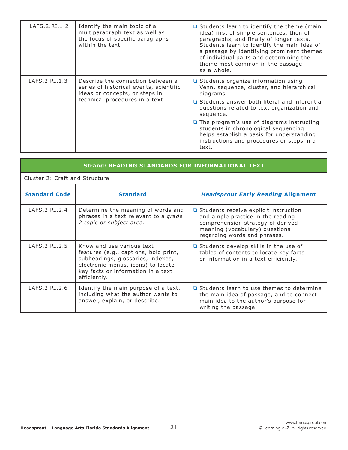| LAFS.2.RI.1.2   | Identify the main topic of a<br>multiparagraph text as well as<br>the focus of specific paragraphs<br>within the text.                            | $\Box$ Students learn to identify the theme (main<br>idea) first of simple sentences, then of<br>paragraphs, and finally of longer texts.<br>Students learn to identify the main idea of<br>a passage by identifying prominent themes<br>of individual parts and determining the<br>theme most common in the passage<br>as a whole.                                                                         |
|-----------------|---------------------------------------------------------------------------------------------------------------------------------------------------|-------------------------------------------------------------------------------------------------------------------------------------------------------------------------------------------------------------------------------------------------------------------------------------------------------------------------------------------------------------------------------------------------------------|
| LAFS. 2.RI. 1.3 | Describe the connection between a<br>series of historical events, scientific<br>ideas or concepts, or steps in<br>technical procedures in a text. | □ Students organize information using<br>Venn, sequence, cluster, and hierarchical<br>diagrams.<br>□ Students answer both literal and inferential<br>questions related to text organization and<br>sequence.<br>$\Box$ The program's use of diagrams instructing<br>students in chronological sequencing<br>helps establish a basis for understanding<br>instructions and procedures or steps in a<br>text. |

| <b>Strand: READING STANDARDS FOR INFORMATIONAL TEXT</b> |                                                                                                                                                                                                     |                                                                                                                                                                                     |
|---------------------------------------------------------|-----------------------------------------------------------------------------------------------------------------------------------------------------------------------------------------------------|-------------------------------------------------------------------------------------------------------------------------------------------------------------------------------------|
| Cluster 2: Craft and Structure                          |                                                                                                                                                                                                     |                                                                                                                                                                                     |
| <b>Standard Code</b>                                    | <b>Standard</b>                                                                                                                                                                                     | <b>Headsprout Early Reading Alignment</b>                                                                                                                                           |
| LAFS.2.RI.2.4                                           | Determine the meaning of words and<br>phrases in a text relevant to a grade<br>2 topic or subject area.                                                                                             | □ Students receive explicit instruction<br>and ample practice in the reading<br>comprehension strategy of derived<br>meaning (vocabulary) questions<br>regarding words and phrases. |
| LAFS. 2.RI. 2.5                                         | Know and use various text<br>features (e.g., captions, bold print,<br>subheadings, glossaries, indexes,<br>electronic menus, icons) to locate<br>key facts or information in a text<br>efficiently. | $\Box$ Students develop skills in the use of<br>tables of contents to locate key facts<br>or information in a text efficiently.                                                     |
| LAFS.2.RI.2.6                                           | Identify the main purpose of a text,<br>including what the author wants to<br>answer, explain, or describe.                                                                                         | □ Students learn to use themes to determine<br>the main idea of passage, and to connect<br>main idea to the author's purpose for<br>writing the passage.                            |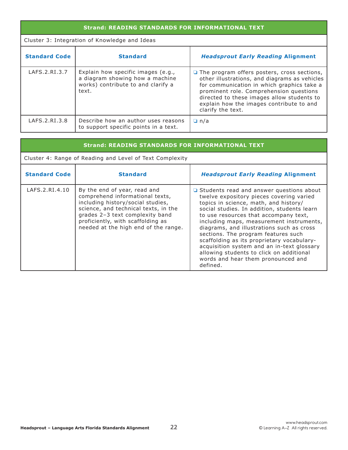| <b>Strand: READING STANDARDS FOR INFORMATIONAL TEXT</b> |                                                                                                                      |                                                                                                                                                                                                                                                                                                             |
|---------------------------------------------------------|----------------------------------------------------------------------------------------------------------------------|-------------------------------------------------------------------------------------------------------------------------------------------------------------------------------------------------------------------------------------------------------------------------------------------------------------|
| Cluster 3: Integration of Knowledge and Ideas           |                                                                                                                      |                                                                                                                                                                                                                                                                                                             |
| <b>Standard Code</b>                                    | <b>Standard</b>                                                                                                      | <b>Headsprout Early Reading Alignment</b>                                                                                                                                                                                                                                                                   |
| LAFS.2.RI.3.7                                           | Explain how specific images (e.g.,<br>a diagram showing how a machine<br>works) contribute to and clarify a<br>text. | $\Box$ The program offers posters, cross sections,<br>other illustrations, and diagrams as vehicles<br>for communication in which graphics take a<br>prominent role. Comprehension questions<br>directed to these images allow students to<br>explain how the images contribute to and<br>clarify the text. |
| LAFS. 2. RI. 3.8                                        | Describe how an author uses reasons<br>to support specific points in a text.                                         | $\Box$ n/a                                                                                                                                                                                                                                                                                                  |

| <b>Strand: READING STANDARDS FOR INFORMATIONAL TEXT</b> |                                                                                                                                                                                                                                                              |                                                                                                                                                                                                                                                                                                                                                                                                                                                                                                                                                        |
|---------------------------------------------------------|--------------------------------------------------------------------------------------------------------------------------------------------------------------------------------------------------------------------------------------------------------------|--------------------------------------------------------------------------------------------------------------------------------------------------------------------------------------------------------------------------------------------------------------------------------------------------------------------------------------------------------------------------------------------------------------------------------------------------------------------------------------------------------------------------------------------------------|
|                                                         | Cluster 4: Range of Reading and Level of Text Complexity                                                                                                                                                                                                     |                                                                                                                                                                                                                                                                                                                                                                                                                                                                                                                                                        |
| <b>Standard Code</b>                                    | <b>Standard</b>                                                                                                                                                                                                                                              | <b>Headsprout Early Reading Alignment</b>                                                                                                                                                                                                                                                                                                                                                                                                                                                                                                              |
| LAFS.2.RI.4.10                                          | By the end of year, read and<br>comprehend informational texts,<br>including history/social studies,<br>science, and technical texts, in the<br>grades 2-3 text complexity band<br>proficiently, with scaffolding as<br>needed at the high end of the range. | $\Box$ Students read and answer questions about<br>twelve expository pieces covering varied<br>topics in science, math, and history/<br>social studies. In addition, students learn<br>to use resources that accompany text,<br>including maps, measurement instruments,<br>diagrams, and illustrations such as cross<br>sections. The program features such<br>scaffolding as its proprietary vocabulary-<br>acquisition system and an in-text glossary<br>allowing students to click on additional<br>words and hear them pronounced and<br>defined. |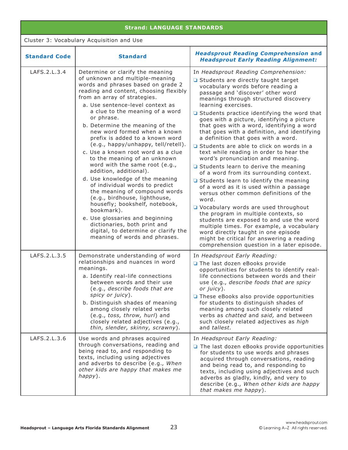| <b>Strand: LANGUAGE STANDARDS</b>         |                                                                                                                                                                                                                                                                                                                                                                                                                                                                                                                                                                                                                                                                                                                                                                                                                                                                                            |                                                                                                                                                                                                                                                                                                                                                                                                                                                                                                                                                                                                                                                                                                                                                                                                                                                                                                                                                                                                                                                                                                                                                    |  |
|-------------------------------------------|--------------------------------------------------------------------------------------------------------------------------------------------------------------------------------------------------------------------------------------------------------------------------------------------------------------------------------------------------------------------------------------------------------------------------------------------------------------------------------------------------------------------------------------------------------------------------------------------------------------------------------------------------------------------------------------------------------------------------------------------------------------------------------------------------------------------------------------------------------------------------------------------|----------------------------------------------------------------------------------------------------------------------------------------------------------------------------------------------------------------------------------------------------------------------------------------------------------------------------------------------------------------------------------------------------------------------------------------------------------------------------------------------------------------------------------------------------------------------------------------------------------------------------------------------------------------------------------------------------------------------------------------------------------------------------------------------------------------------------------------------------------------------------------------------------------------------------------------------------------------------------------------------------------------------------------------------------------------------------------------------------------------------------------------------------|--|
| Cluster 3: Vocabulary Acquisition and Use |                                                                                                                                                                                                                                                                                                                                                                                                                                                                                                                                                                                                                                                                                                                                                                                                                                                                                            |                                                                                                                                                                                                                                                                                                                                                                                                                                                                                                                                                                                                                                                                                                                                                                                                                                                                                                                                                                                                                                                                                                                                                    |  |
| <b>Standard Code</b>                      | <b>Standard</b>                                                                                                                                                                                                                                                                                                                                                                                                                                                                                                                                                                                                                                                                                                                                                                                                                                                                            | <b>Headsprout Reading Comprehension and</b><br><b>Headsprout Early Reading Alignment:</b>                                                                                                                                                                                                                                                                                                                                                                                                                                                                                                                                                                                                                                                                                                                                                                                                                                                                                                                                                                                                                                                          |  |
| LAFS.2.L.3.4                              | Determine or clarify the meaning<br>of unknown and multiple-meaning<br>words and phrases based on grade 2<br>reading and content, choosing flexibly<br>from an array of strategies.<br>a. Use sentence-level context as<br>a clue to the meaning of a word<br>or phrase.<br>b. Determine the meaning of the<br>new word formed when a known<br>prefix is added to a known word<br>(e.g., happy/unhappy, tell/retell).<br>c. Use a known root word as a clue<br>to the meaning of an unknown<br>word with the same root (e.g.,<br>addition, additional).<br>d. Use knowledge of the meaning<br>of individual words to predict<br>the meaning of compound words<br>(e.g., birdhouse, lighthouse,<br>housefly; bookshelf, notebook,<br>bookmark).<br>e. Use glossaries and beginning<br>dictionaries, both print and<br>digital, to determine or clarify the<br>meaning of words and phrases. | In Headsprout Reading Comprehension:<br>$\Box$ Students are directly taught target<br>vocabulary words before reading a<br>passage and 'discover' other word<br>meanings through structured discovery<br>learning exercises.<br>$\Box$ Students practice identifying the word that<br>goes with a picture, identifying a picture<br>that goes with a word, identifying a word<br>that goes with a definition, and identifying<br>a definition that goes with a word.<br>Students are able to click on words in a<br>text while reading in order to hear the<br>word's pronunciation and meaning.<br>□ Students learn to derive the meaning<br>of a word from its surrounding context.<br>$\Box$ Students learn to identify the meaning<br>of a word as it is used within a passage<br>versus other common definitions of the<br>word.<br>□ Vocabulary words are used throughout<br>the program in multiple contexts, so<br>students are exposed to and use the word<br>multiple times. For example, a vocabulary<br>word directly taught in one episode<br>might be critical for answering a reading<br>comprehension question in a later episode. |  |
| LAFS.2.L.3.5                              | Demonstrate understanding of word<br>relationships and nuances in word<br>meanings.<br>a. Identify real-life connections<br>between words and their use<br>(e.g., describe foods that are<br>spicy or juicy).<br>b. Distinguish shades of meaning<br>among closely related verbs<br>(e.g., toss, throw, hurl) and<br>closely related adjectives (e.g.,<br>thin, slender, skinny, scrawny).                                                                                                                                                                                                                                                                                                                                                                                                                                                                                                 | In Headsprout Early Reading:<br>The last dozen eBooks provide<br>opportunities for students to identify real-<br>life connections between words and their<br>use (e.g., describe foods that are spicy<br>or juicy).<br>These eBooks also provide opportunities<br>for students to distinguish shades of<br>meaning among such closely related<br>verbs as chatted and said, and between<br>such closely related adjectives as high<br>and tallest.                                                                                                                                                                                                                                                                                                                                                                                                                                                                                                                                                                                                                                                                                                 |  |
| LAFS.2.L.3.6                              | Use words and phrases acquired<br>through conversations, reading and<br>being read to, and responding to<br>texts, including using adjectives<br>and adverbs to describe (e.g., When<br>other kids are happy that makes me<br>$h$ appy $).$                                                                                                                                                                                                                                                                                                                                                                                                                                                                                                                                                                                                                                                | In Headsprout Early Reading:<br>$\Box$ The last dozen eBooks provide opportunities<br>for students to use words and phrases<br>acquired through conversations, reading<br>and being read to, and responding to<br>texts, including using adjectives and such<br>adverbs as gladly, kindly, and very to<br>describe (e.g., When other kids are happy<br>that makes me happy).                                                                                                                                                                                                                                                                                                                                                                                                                                                                                                                                                                                                                                                                                                                                                                       |  |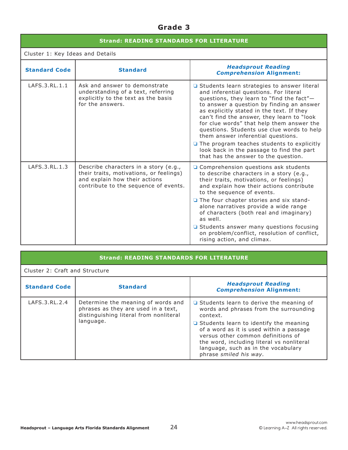# **Grade 3**

| <b>Strand: READING STANDARDS FOR LITERATURE</b> |                                                                                                                                                            |                                                                                                                                                                                                                                                                                                                                                                                                                                                                                                                                                         |
|-------------------------------------------------|------------------------------------------------------------------------------------------------------------------------------------------------------------|---------------------------------------------------------------------------------------------------------------------------------------------------------------------------------------------------------------------------------------------------------------------------------------------------------------------------------------------------------------------------------------------------------------------------------------------------------------------------------------------------------------------------------------------------------|
| Cluster 1: Key Ideas and Details                |                                                                                                                                                            |                                                                                                                                                                                                                                                                                                                                                                                                                                                                                                                                                         |
| <b>Standard Code</b>                            | <b>Standard</b>                                                                                                                                            | <b>Headsprout Reading</b><br><b>Comprehension Alignment:</b>                                                                                                                                                                                                                                                                                                                                                                                                                                                                                            |
| LAFS.3.RL.1.1                                   | Ask and answer to demonstrate<br>understanding of a text, referring<br>explicitly to the text as the basis<br>for the answers.                             | □ Students learn strategies to answer literal<br>and inferential questions. For literal<br>questions, they learn to "find the fact"-<br>to answer a question by finding an answer<br>as explicitly stated in the text. If they<br>can't find the answer, they learn to "look<br>for clue words" that help them answer the<br>questions. Students use clue words to help<br>them answer inferential questions.<br>$\Box$ The program teaches students to explicitly<br>look back in the passage to find the part<br>that has the answer to the question. |
| LAFS.3.RL.1.3                                   | Describe characters in a story (e.g.,<br>their traits, motivations, or feelings)<br>and explain how their actions<br>contribute to the sequence of events. | □ Comprehension questions ask students<br>to describe characters in a story (e.g.,<br>their traits, motivations, or feelings)<br>and explain how their actions contribute<br>to the sequence of events.<br>$\Box$ The four chapter stories and six stand-<br>alone narratives provide a wide range<br>of characters (both real and imaginary)<br>as well.<br>□ Students answer many questions focusing<br>on problem/conflict, resolution of conflict,<br>rising action, and climax.                                                                    |

| <b>Strand: READING STANDARDS FOR LITERATURE</b> |                                                                                                                                  |                                                                                                                                                                                                                                                                                                                                                       |
|-------------------------------------------------|----------------------------------------------------------------------------------------------------------------------------------|-------------------------------------------------------------------------------------------------------------------------------------------------------------------------------------------------------------------------------------------------------------------------------------------------------------------------------------------------------|
| Cluster 2: Craft and Structure                  |                                                                                                                                  |                                                                                                                                                                                                                                                                                                                                                       |
| <b>Standard Code</b>                            | <b>Standard</b>                                                                                                                  | <b>Headsprout Reading</b><br><b>Comprehension Alignment:</b>                                                                                                                                                                                                                                                                                          |
| LAFS.3.RL.2.4                                   | Determine the meaning of words and<br>phrases as they are used in a text,<br>distinguishing literal from nonliteral<br>language. | $\Box$ Students learn to derive the meaning of<br>words and phrases from the surrounding<br>context.<br>$\Box$ Students learn to identify the meaning<br>of a word as it is used within a passage<br>versus other common definitions of<br>the word, including literal vs nonliteral<br>language, such as in the vocabulary<br>phrase smiled his way. |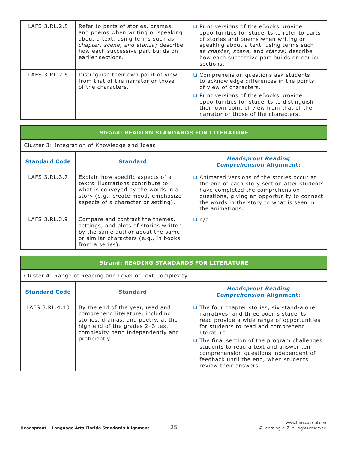| LAFS.3.RL.2.5 | Refer to parts of stories, dramas,<br>and poems when writing or speaking<br>about a text, using terms such as<br>chapter, scene, and stanza; describe<br>how each successive part builds on<br>earlier sections. | Print versions of the eBooks provide<br>opportunities for students to refer to parts<br>of stories and poems when writing or<br>speaking about a text, using terms such<br>as chapter, scene, and stanza; describe<br>how each successive part builds on earlier<br>sections. |
|---------------|------------------------------------------------------------------------------------------------------------------------------------------------------------------------------------------------------------------|-------------------------------------------------------------------------------------------------------------------------------------------------------------------------------------------------------------------------------------------------------------------------------|
| LAFS.3.RL.2.6 | Distinguish their own point of view<br>from that of the narrator or those<br>of the characters.                                                                                                                  | □ Comprehension questions ask students<br>to acknowledge differences in the points<br>of view of characters.<br>Print versions of the eBooks provide<br>opportunities for students to distinguish<br>their own point of view from that of the                                 |
|               |                                                                                                                                                                                                                  | narrator or those of the characters.                                                                                                                                                                                                                                          |

## **Strand: READING STANDARDS FOR LITERATURE**

Cluster 3: Integration of Knowledge and Ideas

| <b>Standard Code</b> | <b>Standard</b>                                                                                                                                                                             | <b>Headsprout Reading</b><br><b>Comprehension Alignment:</b>                                                                                                                                                                                 |
|----------------------|---------------------------------------------------------------------------------------------------------------------------------------------------------------------------------------------|----------------------------------------------------------------------------------------------------------------------------------------------------------------------------------------------------------------------------------------------|
| LAFS.3.RL.3.7        | Explain how specific aspects of a<br>text's illustrations contribute to<br>what is conveyed by the words in a<br>story (e.g., create mood, emphasize<br>aspects of a character or setting). | Animated versions of the stories occur at<br>the end of each story section after students<br>have completed the comprehension<br>questions, giving an opportunity to connect<br>the words in the story to what is seen in<br>the animations. |
| LAFS.3.RL.3.9        | Compare and contrast the themes,<br>settings, and plots of stories written<br>by the same author about the same<br>or similar characters (e.g., in books<br>from a series).                 | $\Box$ n/a                                                                                                                                                                                                                                   |

## **Strand: READING STANDARDS FOR LITERATURE**

Cluster 4: Range of Reading and Level of Text Complexity

| <b>Standard Code</b> | <b>Standard</b>                                                                                                                                                                                      | <b>Headsprout Reading</b><br><b>Comprehension Alignment:</b>                                                                                                                                             |
|----------------------|------------------------------------------------------------------------------------------------------------------------------------------------------------------------------------------------------|----------------------------------------------------------------------------------------------------------------------------------------------------------------------------------------------------------|
|                      |                                                                                                                                                                                                      |                                                                                                                                                                                                          |
| LAFS.3.RL.4.10       | By the end of the year, read and<br>comprehend literature, including<br>stories, dramas, and poetry, at the<br>high end of the grades 2-3 text<br>complexity band independently and<br>proficiently. | $\Box$ The four chapter stories, six stand-alone<br>narratives, and three poems students<br>read provide a wide range of opportunities<br>for students to read and comprehend<br>literature.             |
|                      |                                                                                                                                                                                                      | $\Box$ The final section of the program challenges<br>students to read a text and answer ten<br>comprehension questions independent of<br>feedback until the end, when students<br>review their answers. |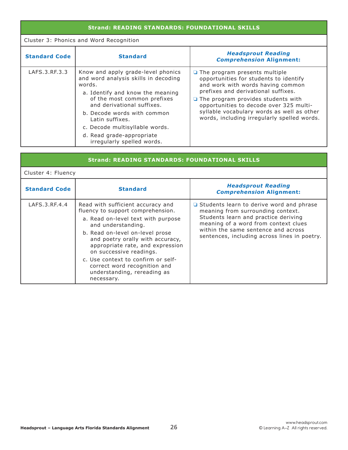Cluster 3: Phonics and Word Recognition

| <b>Standard Code</b> | <b>Standard</b>                                                                                                                                                                                                                                                           | <b>Headsprout Reading</b><br><b>Comprehension Alignment:</b>                                                                                                                                                                                                                                                                                    |
|----------------------|---------------------------------------------------------------------------------------------------------------------------------------------------------------------------------------------------------------------------------------------------------------------------|-------------------------------------------------------------------------------------------------------------------------------------------------------------------------------------------------------------------------------------------------------------------------------------------------------------------------------------------------|
| LAFS.3.RF.3.3        | Know and apply grade-level phonics<br>and word analysis skills in decoding<br>words.<br>a. Identify and know the meaning<br>of the most common prefixes<br>and derivational suffixes.<br>b. Decode words with common<br>Latin suffixes.<br>c. Decode multisyllable words. | $\Box$ The program presents multiple<br>opportunities for students to identify<br>and work with words having common<br>prefixes and derivational suffixes.<br>$\Box$ The program provides students with<br>opportunities to decode over 325 multi-<br>syllable vocabulary words as well as other<br>words, including irregularly spelled words. |
|                      | d. Read grade-appropriate<br>irregularly spelled words.                                                                                                                                                                                                                   |                                                                                                                                                                                                                                                                                                                                                 |

| <b>Strand: READING STANDARDS: FOUNDATIONAL SKILLS</b> |                                                                                                                                                                                                                                                                                                                                                                                             |                                                                                                                                                                                                                                                        |  |
|-------------------------------------------------------|---------------------------------------------------------------------------------------------------------------------------------------------------------------------------------------------------------------------------------------------------------------------------------------------------------------------------------------------------------------------------------------------|--------------------------------------------------------------------------------------------------------------------------------------------------------------------------------------------------------------------------------------------------------|--|
|                                                       | Cluster 4: Fluency                                                                                                                                                                                                                                                                                                                                                                          |                                                                                                                                                                                                                                                        |  |
| <b>Standard Code</b>                                  | <b>Standard</b>                                                                                                                                                                                                                                                                                                                                                                             | <b>Headsprout Reading</b><br><b>Comprehension Alignment:</b>                                                                                                                                                                                           |  |
| LAFS.3.RF.4.4                                         | Read with sufficient accuracy and<br>fluency to support comprehension.<br>a. Read on-level text with purpose<br>and understanding.<br>b. Read on-level on-level prose<br>and poetry orally with accuracy,<br>appropriate rate, and expression<br>on successive readings.<br>c. Use context to confirm or self-<br>correct word recognition and<br>understanding, rereading as<br>necessary. | □ Students learn to derive word and phrase<br>meaning from surrounding context.<br>Students learn and practice deriving<br>meaning of a word from context clues<br>within the same sentence and across<br>sentences, including across lines in poetry. |  |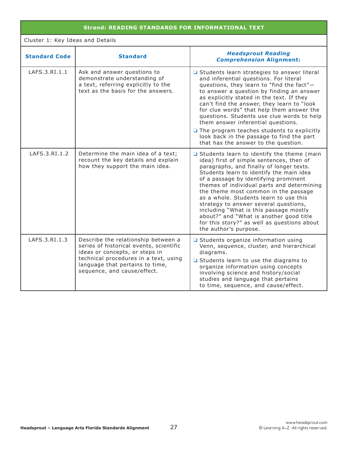## Cluster 1: Key Ideas and Details

| <b>Standard Code</b> | <b>Standard</b>                                                                                                                                                                                                             | <b>Headsprout Reading</b><br><b>Comprehension Alignment:</b>                                                                                                                                                                                                                                                                                                                                                                                                                                                                                                    |
|----------------------|-----------------------------------------------------------------------------------------------------------------------------------------------------------------------------------------------------------------------------|-----------------------------------------------------------------------------------------------------------------------------------------------------------------------------------------------------------------------------------------------------------------------------------------------------------------------------------------------------------------------------------------------------------------------------------------------------------------------------------------------------------------------------------------------------------------|
| LAFS.3.RI.1.1        | Ask and answer questions to<br>demonstrate understanding of<br>a text, referring explicitly to the<br>text as the basis for the answers.                                                                                    | □ Students learn strategies to answer literal<br>and inferential questions. For literal<br>questions, they learn to "find the fact"-<br>to answer a question by finding an answer<br>as explicitly stated in the text. If they<br>can't find the answer, they learn to "look<br>for clue words" that help them answer the<br>questions. Students use clue words to help<br>them answer inferential questions.<br>$\Box$ The program teaches students to explicitly<br>look back in the passage to find the part<br>that has the answer to the question.         |
| LAFS.3.RI.1.2        | Determine the main idea of a text;<br>recount the key details and explain<br>how they support the main idea.                                                                                                                | □ Students learn to identify the theme (main<br>idea) first of simple sentences, then of<br>paragraphs, and finally of longer texts.<br>Students learn to identify the main idea<br>of a passage by identifying prominent<br>themes of individual parts and determining<br>the theme most common in the passage<br>as a whole. Students learn to use this<br>strategy to answer several questions,<br>including "What is this passage mostly<br>about?" and "What is another good title<br>for this story?" as well as questions about<br>the author's purpose. |
| LAFS.3.RI.1.3        | Describe the relationship between a<br>series of historical events, scientific<br>ideas or concepts, or steps in<br>technical procedures in a text, using<br>language that pertains to time,<br>sequence, and cause/effect. | □ Students organize information using<br>Venn, sequence, cluster, and hierarchical<br>diagrams.<br>□ Students learn to use the diagrams to<br>organize information using concepts<br>involving science and history/social<br>studies and language that pertains<br>to time, sequence, and cause/effect.                                                                                                                                                                                                                                                         |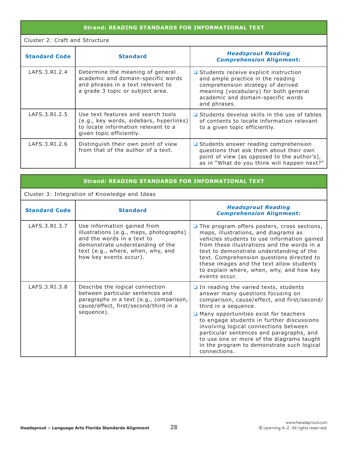#### Cluster 2: Craft and Structure

| <b>Standard Code</b> | <b>Standard</b>                                                                                                                                  | <b>Headsprout Reading</b><br><b>Comprehension Alignment:</b>                                                                                                                                                     |
|----------------------|--------------------------------------------------------------------------------------------------------------------------------------------------|------------------------------------------------------------------------------------------------------------------------------------------------------------------------------------------------------------------|
| LAFS.3.RI.2.4        | Determine the meaning of general<br>academic and domain-specific words<br>and phrases in a text relevant to<br>a grade 3 topic or subject area.  | □ Students receive explicit instruction<br>and ample practice in the reading<br>comprehension strategy of derived<br>meaning (vocabulary) for both general<br>academic and domain-specific words<br>and phrases. |
| LAFS.3.RI.2.5        | Use text features and search tools<br>(e.g., key words, sidebars, hyperlinks)<br>to locate information relevant to a<br>given topic efficiently. | □ Students develop skills in the use of tables<br>of contents to locate information relevant<br>to a given topic efficiently.                                                                                    |
| LAFS.3.RI.2.6        | Distinguish their own point of view<br>from that of the author of a text.                                                                        | □ Students answer reading comprehension<br>questions that ask them about their own<br>point of view (as opposed to the author's),<br>as in "What do you think will happen next?"                                 |

| <b>Strand: READING STANDARDS FOR INFORMATIONAL TEXT</b> |                                                                                                                                                                                                         |                                                                                                                                                                                                                                                                                                                                                                                                                                                  |  |
|---------------------------------------------------------|---------------------------------------------------------------------------------------------------------------------------------------------------------------------------------------------------------|--------------------------------------------------------------------------------------------------------------------------------------------------------------------------------------------------------------------------------------------------------------------------------------------------------------------------------------------------------------------------------------------------------------------------------------------------|--|
|                                                         | Cluster 3: Integration of Knowledge and Ideas                                                                                                                                                           |                                                                                                                                                                                                                                                                                                                                                                                                                                                  |  |
| <b>Standard Code</b>                                    | <b>Standard</b>                                                                                                                                                                                         | <b>Headsprout Reading</b><br><b>Comprehension Alignment:</b>                                                                                                                                                                                                                                                                                                                                                                                     |  |
| LAFS.3.RI.3.7                                           | Use information gained from<br>illustrations (e.g., maps, photographs)<br>and the words in a text to<br>demonstrate understanding of the<br>text (e.g., where, when, why, and<br>how key events occur). | $\Box$ The program offers posters, cross sections,<br>maps, illustrations, and diagrams as<br>vehicles students to use information gained<br>from these illustrations and the words in a<br>text to demonstrate understanding of the<br>text. Comprehension questions directed to<br>these images and the text allow students<br>to explain where, when, why, and how key<br>events occur.                                                       |  |
| LAFS.3.RI.3.8                                           | Describe the logical connection<br>between particular sentences and<br>paragraphs in a text (e.g., comparison,<br>cause/effect, first/second/third in a<br>sequence).                                   | $\Box$ In reading the varied texts, students<br>answer many questions focusing on<br>comparison, cause/effect, and first/second/<br>third in a sequence.<br>□ Many opportunities exist for teachers<br>to engage students in further discussions<br>involving logical connections between<br>particular sentences and paragraphs, and<br>to use one or more of the diagrams taught<br>in the program to demonstrate such logical<br>connections. |  |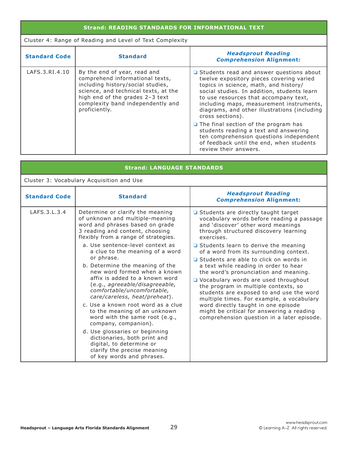## Cluster 4: Range of Reading and Level of Text Complexity

| <b>Standard Code</b> | <b>Standard</b>                                                                                                                                                                                                                       | <b>Headsprout Reading</b><br><b>Comprehension Alignment:</b>                                                                                                                                                                                                                                                                            |
|----------------------|---------------------------------------------------------------------------------------------------------------------------------------------------------------------------------------------------------------------------------------|-----------------------------------------------------------------------------------------------------------------------------------------------------------------------------------------------------------------------------------------------------------------------------------------------------------------------------------------|
| LAFS.3.RI.4.10       | By the end of year, read and<br>comprehend informational texts,<br>including history/social studies,<br>science, and technical texts, at the<br>high end of the grades 2-3 text<br>complexity band independently and<br>proficiently. | □ Students read and answer questions about<br>twelve expository pieces covering varied<br>topics in science, math, and history/<br>social studies. In addition, students learn<br>to use resources that accompany text,<br>including maps, measurement instruments,<br>diagrams, and other illustrations (including<br>cross sections). |
|                      |                                                                                                                                                                                                                                       | $\Box$ The final section of the program has<br>students reading a text and answering<br>ten comprehension questions independent<br>of feedback until the end, when students<br>review their answers.                                                                                                                                    |

| <b>Strand: LANGUAGE STANDARDS</b>         |                                                                                                                                                                                                                                                                                                                                                                                                                                                                                                                                               |                                                                                                                                                                                                                                                                                                                                                                                                                                                                                                                                   |  |
|-------------------------------------------|-----------------------------------------------------------------------------------------------------------------------------------------------------------------------------------------------------------------------------------------------------------------------------------------------------------------------------------------------------------------------------------------------------------------------------------------------------------------------------------------------------------------------------------------------|-----------------------------------------------------------------------------------------------------------------------------------------------------------------------------------------------------------------------------------------------------------------------------------------------------------------------------------------------------------------------------------------------------------------------------------------------------------------------------------------------------------------------------------|--|
| Cluster 3: Vocabulary Acquisition and Use |                                                                                                                                                                                                                                                                                                                                                                                                                                                                                                                                               |                                                                                                                                                                                                                                                                                                                                                                                                                                                                                                                                   |  |
| <b>Standard Code</b>                      | <b>Standard</b>                                                                                                                                                                                                                                                                                                                                                                                                                                                                                                                               | <b>Headsprout Reading</b><br><b>Comprehension Alignment:</b>                                                                                                                                                                                                                                                                                                                                                                                                                                                                      |  |
| LAFS.3.L.3.4                              | Determine or clarify the meaning<br>of unknown and multiple-meaning<br>word and phrases based on grade<br>3 reading and content, choosing<br>flexibly from a range of strategies.<br>a. Use sentence-level context as                                                                                                                                                                                                                                                                                                                         | □ Students are directly taught target<br>vocabulary words before reading a passage<br>and 'discover' other word meanings<br>through structured discovery learning<br>exercises.                                                                                                                                                                                                                                                                                                                                                   |  |
|                                           | a clue to the meaning of a word<br>or phrase.<br>b. Determine the meaning of the<br>new word formed when a known<br>affix is added to a known word<br>(e.g., agreeable/disagreeable,<br>comfortable/uncomfortable,<br>care/careless, heat/preheat).<br>c. Use a known root word as a clue<br>to the meaning of an unknown<br>word with the same root (e.g.,<br>company, companion).<br>d. Use glossaries or beginning<br>dictionaries, both print and<br>digital, to determine or<br>clarify the precise meaning<br>of key words and phrases. | $\Box$ Students learn to derive the meaning<br>of a word from its surrounding context.<br>□ Students are able to click on words in<br>a text while reading in order to hear<br>the word's pronunciation and meaning.<br>□ Vocabulary words are used throughout<br>the program in multiple contexts, so<br>students are exposed to and use the word<br>multiple times. For example, a vocabulary<br>word directly taught in one episode<br>might be critical for answering a reading<br>comprehension question in a later episode. |  |